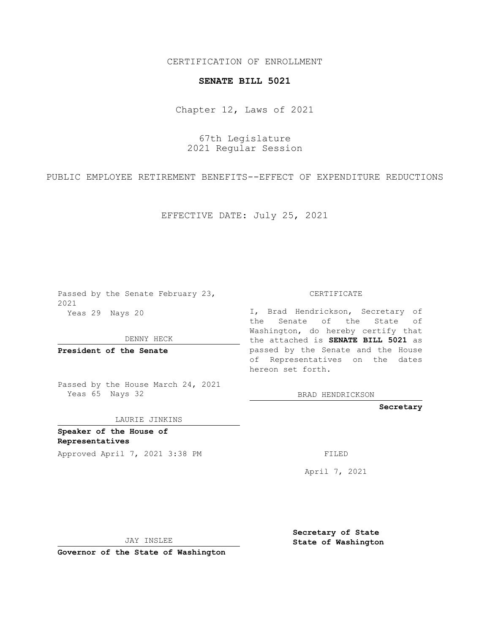CERTIFICATION OF ENROLLMENT

## **SENATE BILL 5021**

Chapter 12, Laws of 2021

67th Legislature 2021 Regular Session

PUBLIC EMPLOYEE RETIREMENT BENEFITS--EFFECT OF EXPENDITURE REDUCTIONS

EFFECTIVE DATE: July 25, 2021

Passed by the Senate February 23, 2021 Yeas 29 Nays 20

DENNY HECK

**President of the Senate**

Passed by the House March 24, 2021 Yeas 65 Nays 32

LAURIE JINKINS

**Speaker of the House of Representatives**

Approved April 7, 2021 3:38 PM FILED

CERTIFICATE

I, Brad Hendrickson, Secretary of the Senate of the State of Washington, do hereby certify that the attached is **SENATE BILL 5021** as passed by the Senate and the House of Representatives on the dates hereon set forth.

BRAD HENDRICKSON

**Secretary**

April 7, 2021

JAY INSLEE

**Governor of the State of Washington**

**Secretary of State State of Washington**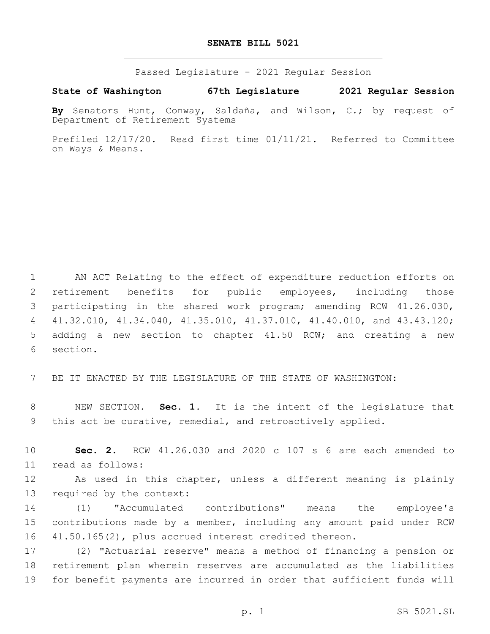## **SENATE BILL 5021**

Passed Legislature - 2021 Regular Session

**State of Washington 67th Legislature 2021 Regular Session**

**By** Senators Hunt, Conway, Saldaña, and Wilson, C.; by request of Department of Retirement Systems

Prefiled 12/17/20. Read first time 01/11/21. Referred to Committee on Ways & Means.

 AN ACT Relating to the effect of expenditure reduction efforts on retirement benefits for public employees, including those participating in the shared work program; amending RCW 41.26.030, 41.32.010, 41.34.040, 41.35.010, 41.37.010, 41.40.010, and 43.43.120; adding a new section to chapter 41.50 RCW; and creating a new 6 section.

7 BE IT ENACTED BY THE LEGISLATURE OF THE STATE OF WASHINGTON:

8 NEW SECTION. **Sec. 1.** It is the intent of the legislature that 9 this act be curative, remedial, and retroactively applied.

10 **Sec. 2.** RCW 41.26.030 and 2020 c 107 s 6 are each amended to 11 read as follows:

12 As used in this chapter, unless a different meaning is plainly 13 required by the context:

14 (1) "Accumulated contributions" means the employee's 15 contributions made by a member, including any amount paid under RCW 16 41.50.165(2), plus accrued interest credited thereon.

17 (2) "Actuarial reserve" means a method of financing a pension or 18 retirement plan wherein reserves are accumulated as the liabilities 19 for benefit payments are incurred in order that sufficient funds will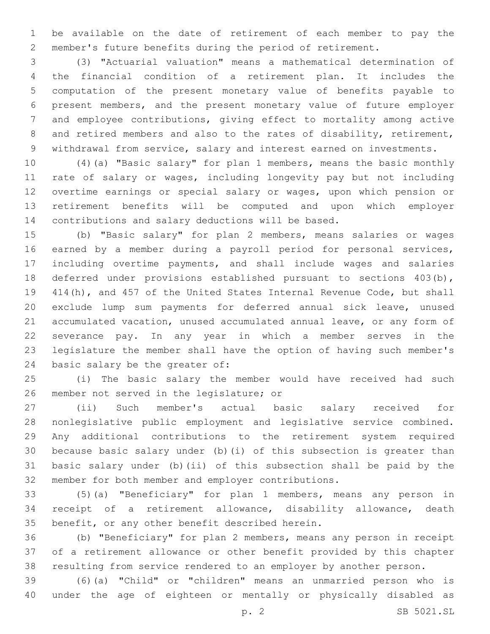be available on the date of retirement of each member to pay the member's future benefits during the period of retirement.

 (3) "Actuarial valuation" means a mathematical determination of the financial condition of a retirement plan. It includes the computation of the present monetary value of benefits payable to present members, and the present monetary value of future employer and employee contributions, giving effect to mortality among active 8 and retired members and also to the rates of disability, retirement, withdrawal from service, salary and interest earned on investments.

 (4)(a) "Basic salary" for plan 1 members, means the basic monthly rate of salary or wages, including longevity pay but not including overtime earnings or special salary or wages, upon which pension or retirement benefits will be computed and upon which employer contributions and salary deductions will be based.

 (b) "Basic salary" for plan 2 members, means salaries or wages earned by a member during a payroll period for personal services, including overtime payments, and shall include wages and salaries deferred under provisions established pursuant to sections 403(b), 414(h), and 457 of the United States Internal Revenue Code, but shall exclude lump sum payments for deferred annual sick leave, unused accumulated vacation, unused accumulated annual leave, or any form of severance pay. In any year in which a member serves in the legislature the member shall have the option of having such member's 24 basic salary be the greater of:

 (i) The basic salary the member would have received had such 26 member not served in the legislature; or

 (ii) Such member's actual basic salary received for nonlegislative public employment and legislative service combined. Any additional contributions to the retirement system required because basic salary under (b)(i) of this subsection is greater than basic salary under (b)(ii) of this subsection shall be paid by the member for both member and employer contributions.

 (5)(a) "Beneficiary" for plan 1 members, means any person in receipt of a retirement allowance, disability allowance, death 35 benefit, or any other benefit described herein.

 (b) "Beneficiary" for plan 2 members, means any person in receipt of a retirement allowance or other benefit provided by this chapter resulting from service rendered to an employer by another person.

 (6)(a) "Child" or "children" means an unmarried person who is under the age of eighteen or mentally or physically disabled as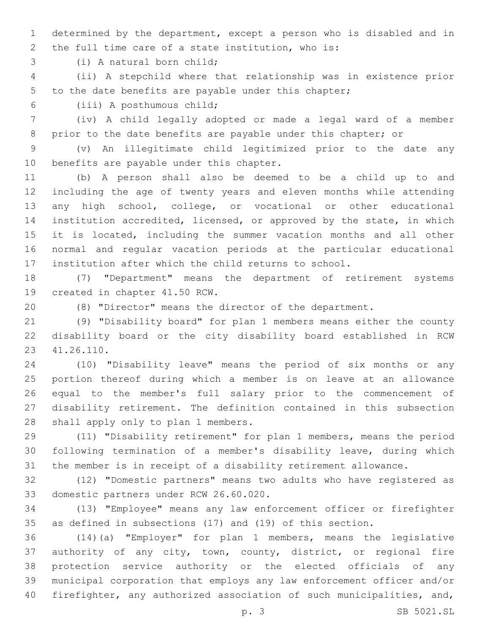determined by the department, except a person who is disabled and in 2 the full time care of a state institution, who is:

3 (i) A natural born child;

 (ii) A stepchild where that relationship was in existence prior to the date benefits are payable under this chapter;

(iii) A posthumous child;6

 (iv) A child legally adopted or made a legal ward of a member 8 prior to the date benefits are payable under this chapter; or

 (v) An illegitimate child legitimized prior to the date any 10 benefits are payable under this chapter.

 (b) A person shall also be deemed to be a child up to and including the age of twenty years and eleven months while attending any high school, college, or vocational or other educational institution accredited, licensed, or approved by the state, in which it is located, including the summer vacation months and all other normal and regular vacation periods at the particular educational institution after which the child returns to school.

 (7) "Department" means the department of retirement systems 19 created in chapter 41.50 RCW.

(8) "Director" means the director of the department.

 (9) "Disability board" for plan 1 members means either the county disability board or the city disability board established in RCW 41.26.110.23

 (10) "Disability leave" means the period of six months or any portion thereof during which a member is on leave at an allowance equal to the member's full salary prior to the commencement of disability retirement. The definition contained in this subsection 28 shall apply only to plan 1 members.

 (11) "Disability retirement" for plan 1 members, means the period following termination of a member's disability leave, during which the member is in receipt of a disability retirement allowance.

 (12) "Domestic partners" means two adults who have registered as 33 domestic partners under RCW 26.60.020.

 (13) "Employee" means any law enforcement officer or firefighter as defined in subsections (17) and (19) of this section.

 (14)(a) "Employer" for plan 1 members, means the legislative authority of any city, town, county, district, or regional fire protection service authority or the elected officials of any municipal corporation that employs any law enforcement officer and/or firefighter, any authorized association of such municipalities, and,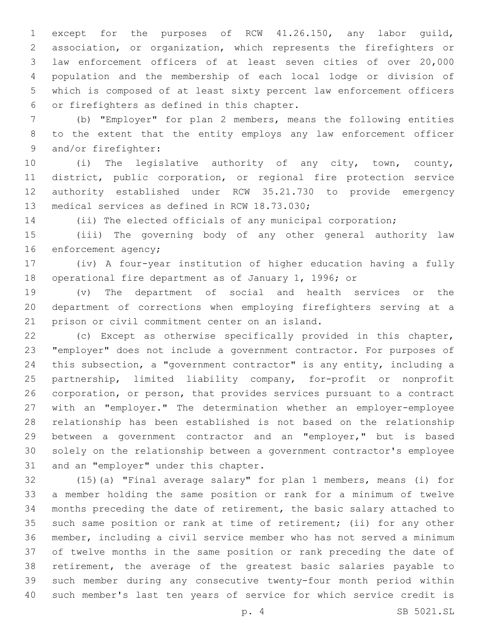except for the purposes of RCW 41.26.150, any labor guild, association, or organization, which represents the firefighters or law enforcement officers of at least seven cities of over 20,000 population and the membership of each local lodge or division of which is composed of at least sixty percent law enforcement officers 6 or firefighters as defined in this chapter.

 (b) "Employer" for plan 2 members, means the following entities to the extent that the entity employs any law enforcement officer 9 and/or firefighter:

 (i) The legislative authority of any city, town, county, district, public corporation, or regional fire protection service authority established under RCW 35.21.730 to provide emergency 13 medical services as defined in RCW 18.73.030;

(ii) The elected officials of any municipal corporation;

 (iii) The governing body of any other general authority law 16 enforcement agency;

 (iv) A four-year institution of higher education having a fully operational fire department as of January 1, 1996; or

 (v) The department of social and health services or the department of corrections when employing firefighters serving at a 21 prison or civil commitment center on an island.

 (c) Except as otherwise specifically provided in this chapter, "employer" does not include a government contractor. For purposes of this subsection, a "government contractor" is any entity, including a partnership, limited liability company, for-profit or nonprofit corporation, or person, that provides services pursuant to a contract with an "employer." The determination whether an employer-employee relationship has been established is not based on the relationship between a government contractor and an "employer," but is based solely on the relationship between a government contractor's employee 31 and an "employer" under this chapter.

 (15)(a) "Final average salary" for plan 1 members, means (i) for a member holding the same position or rank for a minimum of twelve months preceding the date of retirement, the basic salary attached to such same position or rank at time of retirement; (ii) for any other member, including a civil service member who has not served a minimum of twelve months in the same position or rank preceding the date of retirement, the average of the greatest basic salaries payable to such member during any consecutive twenty-four month period within such member's last ten years of service for which service credit is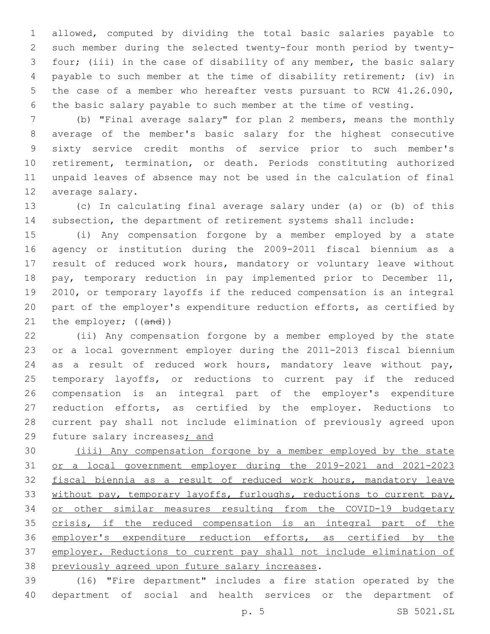allowed, computed by dividing the total basic salaries payable to such member during the selected twenty-four month period by twenty- four; (iii) in the case of disability of any member, the basic salary payable to such member at the time of disability retirement; (iv) in the case of a member who hereafter vests pursuant to RCW 41.26.090, the basic salary payable to such member at the time of vesting.

 (b) "Final average salary" for plan 2 members, means the monthly average of the member's basic salary for the highest consecutive sixty service credit months of service prior to such member's retirement, termination, or death. Periods constituting authorized unpaid leaves of absence may not be used in the calculation of final 12 average salary.

 (c) In calculating final average salary under (a) or (b) of this subsection, the department of retirement systems shall include:

 (i) Any compensation forgone by a member employed by a state agency or institution during the 2009-2011 fiscal biennium as a result of reduced work hours, mandatory or voluntary leave without pay, temporary reduction in pay implemented prior to December 11, 2010, or temporary layoffs if the reduced compensation is an integral part of the employer's expenditure reduction efforts, as certified by 21 the employer; ((and))

 (ii) Any compensation forgone by a member employed by the state or a local government employer during the 2011-2013 fiscal biennium as a result of reduced work hours, mandatory leave without pay, temporary layoffs, or reductions to current pay if the reduced compensation is an integral part of the employer's expenditure reduction efforts, as certified by the employer. Reductions to current pay shall not include elimination of previously agreed upon 29 future salary increases; and

 (iii) Any compensation forgone by a member employed by the state or a local government employer during the 2019-2021 and 2021-2023 fiscal biennia as a result of reduced work hours, mandatory leave 33 without pay, temporary layoffs, furloughs, reductions to current pay, or other similar measures resulting from the COVID-19 budgetary crisis, if the reduced compensation is an integral part of the employer's expenditure reduction efforts, as certified by the 37 employer. Reductions to current pay shall not include elimination of 38 previously agreed upon future salary increases.

 (16) "Fire department" includes a fire station operated by the department of social and health services or the department of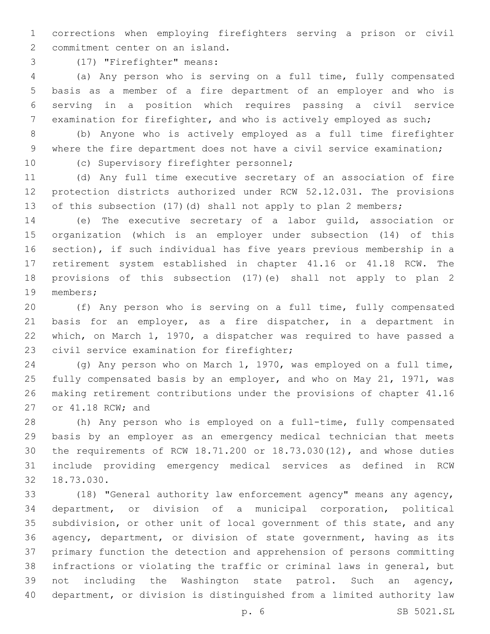corrections when employing firefighters serving a prison or civil 2 commitment center on an island.

(17) "Firefighter" means:3

 (a) Any person who is serving on a full time, fully compensated basis as a member of a fire department of an employer and who is serving in a position which requires passing a civil service 7 examination for firefighter, and who is actively employed as such;

 (b) Anyone who is actively employed as a full time firefighter where the fire department does not have a civil service examination;

10 (c) Supervisory firefighter personnel;

 (d) Any full time executive secretary of an association of fire protection districts authorized under RCW 52.12.031. The provisions of this subsection (17)(d) shall not apply to plan 2 members;

 (e) The executive secretary of a labor guild, association or organization (which is an employer under subsection (14) of this section), if such individual has five years previous membership in a retirement system established in chapter 41.16 or 41.18 RCW. The provisions of this subsection (17)(e) shall not apply to plan 2 19 members;

 (f) Any person who is serving on a full time, fully compensated basis for an employer, as a fire dispatcher, in a department in which, on March 1, 1970, a dispatcher was required to have passed a 23 civil service examination for firefighter;

 (g) Any person who on March 1, 1970, was employed on a full time, fully compensated basis by an employer, and who on May 21, 1971, was making retirement contributions under the provisions of chapter 41.16 27 or 41.18 RCW; and

 (h) Any person who is employed on a full-time, fully compensated basis by an employer as an emergency medical technician that meets the requirements of RCW 18.71.200 or 18.73.030(12), and whose duties include providing emergency medical services as defined in RCW 32 18.73.030.

 (18) "General authority law enforcement agency" means any agency, department, or division of a municipal corporation, political subdivision, or other unit of local government of this state, and any agency, department, or division of state government, having as its primary function the detection and apprehension of persons committing infractions or violating the traffic or criminal laws in general, but not including the Washington state patrol. Such an agency, department, or division is distinguished from a limited authority law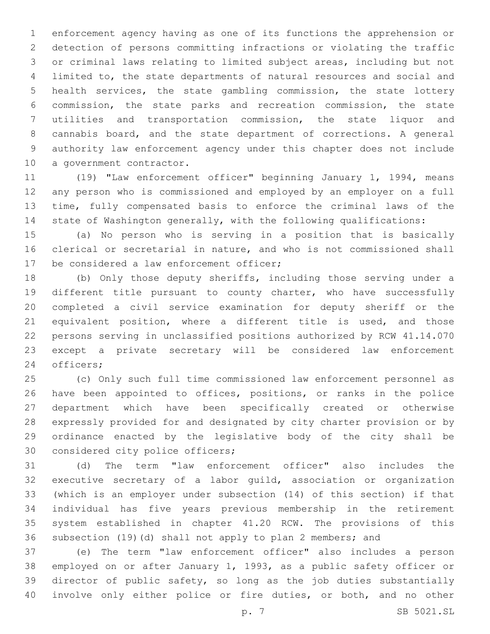enforcement agency having as one of its functions the apprehension or detection of persons committing infractions or violating the traffic or criminal laws relating to limited subject areas, including but not limited to, the state departments of natural resources and social and health services, the state gambling commission, the state lottery commission, the state parks and recreation commission, the state utilities and transportation commission, the state liquor and cannabis board, and the state department of corrections. A general authority law enforcement agency under this chapter does not include 10 a government contractor.

 (19) "Law enforcement officer" beginning January 1, 1994, means any person who is commissioned and employed by an employer on a full time, fully compensated basis to enforce the criminal laws of the state of Washington generally, with the following qualifications:

 (a) No person who is serving in a position that is basically clerical or secretarial in nature, and who is not commissioned shall 17 be considered a law enforcement officer;

 (b) Only those deputy sheriffs, including those serving under a different title pursuant to county charter, who have successfully completed a civil service examination for deputy sheriff or the equivalent position, where a different title is used, and those persons serving in unclassified positions authorized by RCW 41.14.070 except a private secretary will be considered law enforcement 24 officers;

 (c) Only such full time commissioned law enforcement personnel as have been appointed to offices, positions, or ranks in the police department which have been specifically created or otherwise expressly provided for and designated by city charter provision or by ordinance enacted by the legislative body of the city shall be 30 considered city police officers;

 (d) The term "law enforcement officer" also includes the executive secretary of a labor guild, association or organization (which is an employer under subsection (14) of this section) if that individual has five years previous membership in the retirement system established in chapter 41.20 RCW. The provisions of this subsection (19)(d) shall not apply to plan 2 members; and

 (e) The term "law enforcement officer" also includes a person employed on or after January 1, 1993, as a public safety officer or director of public safety, so long as the job duties substantially involve only either police or fire duties, or both, and no other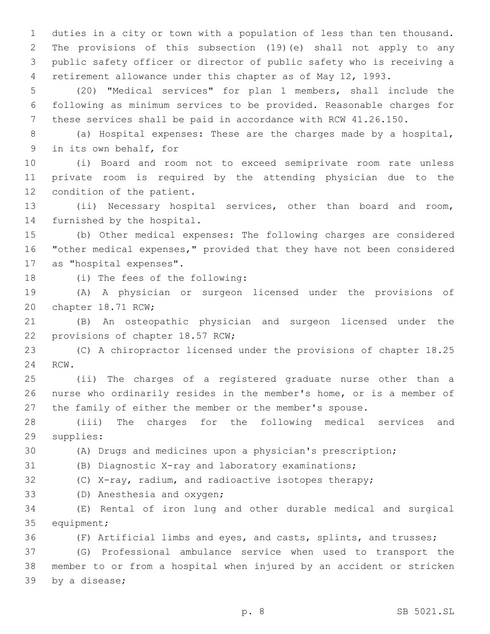duties in a city or town with a population of less than ten thousand. The provisions of this subsection (19)(e) shall not apply to any public safety officer or director of public safety who is receiving a retirement allowance under this chapter as of May 12, 1993.

 (20) "Medical services" for plan 1 members, shall include the following as minimum services to be provided. Reasonable charges for these services shall be paid in accordance with RCW 41.26.150.

 (a) Hospital expenses: These are the charges made by a hospital, 9 in its own behalf, for

 (i) Board and room not to exceed semiprivate room rate unless private room is required by the attending physician due to the 12 condition of the patient.

 (ii) Necessary hospital services, other than board and room, 14 furnished by the hospital.

 (b) Other medical expenses: The following charges are considered "other medical expenses," provided that they have not been considered 17 as "hospital expenses".

18 (i) The fees of the following:

 (A) A physician or surgeon licensed under the provisions of 20 chapter 18.71 RCW;

 (B) An osteopathic physician and surgeon licensed under the 22 provisions of chapter 18.57 RCW;

 (C) A chiropractor licensed under the provisions of chapter 18.25 24 RCW.

 (ii) The charges of a registered graduate nurse other than a nurse who ordinarily resides in the member's home, or is a member of the family of either the member or the member's spouse.

 (iii) The charges for the following medical services and 29 supplies:

(A) Drugs and medicines upon a physician's prescription;

(B) Diagnostic X-ray and laboratory examinations;

(C) X-ray, radium, and radioactive isotopes therapy;

33 (D) Anesthesia and oxygen;

 (E) Rental of iron lung and other durable medical and surgical 35 equipment;

(F) Artificial limbs and eyes, and casts, splints, and trusses;

 (G) Professional ambulance service when used to transport the member to or from a hospital when injured by an accident or stricken 39 by a disease;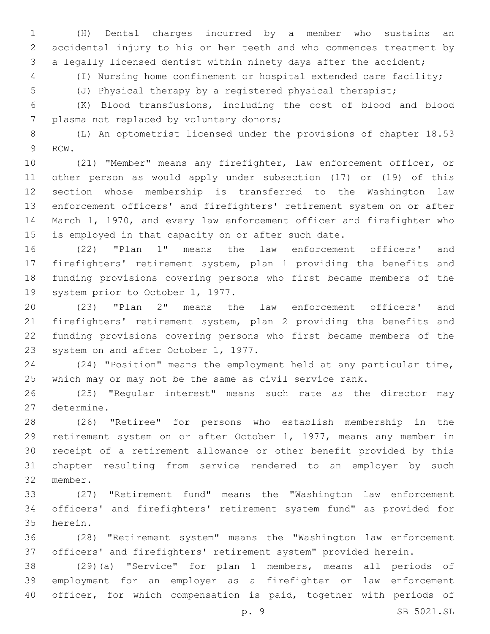(H) Dental charges incurred by a member who sustains an accidental injury to his or her teeth and who commences treatment by a legally licensed dentist within ninety days after the accident;

(I) Nursing home confinement or hospital extended care facility;

(J) Physical therapy by a registered physical therapist;

 (K) Blood transfusions, including the cost of blood and blood 7 plasma not replaced by voluntary donors;

 (L) An optometrist licensed under the provisions of chapter 18.53 9 RCW.

 (21) "Member" means any firefighter, law enforcement officer, or other person as would apply under subsection (17) or (19) of this section whose membership is transferred to the Washington law enforcement officers' and firefighters' retirement system on or after March 1, 1970, and every law enforcement officer and firefighter who is employed in that capacity on or after such date.

 (22) "Plan 1" means the law enforcement officers' and firefighters' retirement system, plan 1 providing the benefits and funding provisions covering persons who first became members of the 19 system prior to October 1, 1977.

 (23) "Plan 2" means the law enforcement officers' and firefighters' retirement system, plan 2 providing the benefits and funding provisions covering persons who first became members of the 23 system on and after October 1, 1977.

 (24) "Position" means the employment held at any particular time, which may or may not be the same as civil service rank.

 (25) "Regular interest" means such rate as the director may 27 determine.

 (26) "Retiree" for persons who establish membership in the retirement system on or after October 1, 1977, means any member in receipt of a retirement allowance or other benefit provided by this chapter resulting from service rendered to an employer by such 32 member.

 (27) "Retirement fund" means the "Washington law enforcement officers' and firefighters' retirement system fund" as provided for 35 herein.

 (28) "Retirement system" means the "Washington law enforcement officers' and firefighters' retirement system" provided herein.

 (29)(a) "Service" for plan 1 members, means all periods of employment for an employer as a firefighter or law enforcement officer, for which compensation is paid, together with periods of

p. 9 SB 5021.SL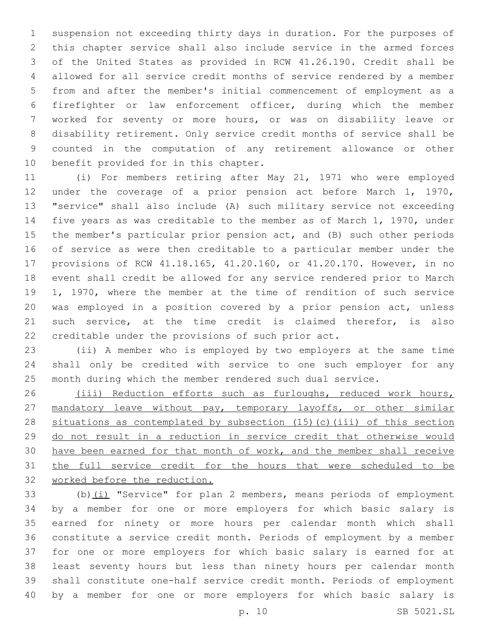suspension not exceeding thirty days in duration. For the purposes of this chapter service shall also include service in the armed forces of the United States as provided in RCW 41.26.190. Credit shall be allowed for all service credit months of service rendered by a member from and after the member's initial commencement of employment as a firefighter or law enforcement officer, during which the member worked for seventy or more hours, or was on disability leave or disability retirement. Only service credit months of service shall be counted in the computation of any retirement allowance or other 10 benefit provided for in this chapter.

 (i) For members retiring after May 21, 1971 who were employed under the coverage of a prior pension act before March 1, 1970, "service" shall also include (A) such military service not exceeding five years as was creditable to the member as of March 1, 1970, under the member's particular prior pension act, and (B) such other periods of service as were then creditable to a particular member under the provisions of RCW 41.18.165, 41.20.160, or 41.20.170. However, in no event shall credit be allowed for any service rendered prior to March 1, 1970, where the member at the time of rendition of such service was employed in a position covered by a prior pension act, unless such service, at the time credit is claimed therefor, is also creditable under the provisions of such prior act.

 (ii) A member who is employed by two employers at the same time shall only be credited with service to one such employer for any month during which the member rendered such dual service.

 (iii) Reduction efforts such as furloughs, reduced work hours, 27 mandatory leave without pay, temporary layoffs, or other similar situations as contemplated by subsection (15)(c)(iii) of this section do not result in a reduction in service credit that otherwise would 30 have been earned for that month of work, and the member shall receive 31 the full service credit for the hours that were scheduled to be worked before the reduction.

 (b)(i) "Service" for plan 2 members, means periods of employment by a member for one or more employers for which basic salary is earned for ninety or more hours per calendar month which shall constitute a service credit month. Periods of employment by a member for one or more employers for which basic salary is earned for at least seventy hours but less than ninety hours per calendar month shall constitute one-half service credit month. Periods of employment by a member for one or more employers for which basic salary is

p. 10 SB 5021.SL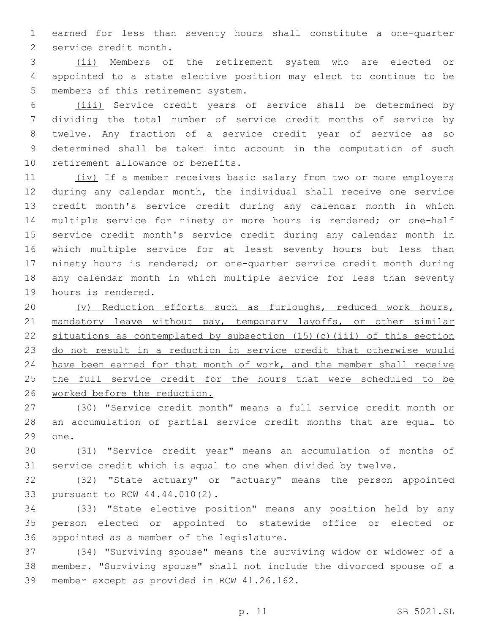earned for less than seventy hours shall constitute a one-quarter 2 service credit month.

 (ii) Members of the retirement system who are elected or appointed to a state elective position may elect to continue to be 5 members of this retirement system.

 (iii) Service credit years of service shall be determined by dividing the total number of service credit months of service by twelve. Any fraction of a service credit year of service as so determined shall be taken into account in the computation of such 10 retirement allowance or benefits.

11 (iv) If a member receives basic salary from two or more employers during any calendar month, the individual shall receive one service credit month's service credit during any calendar month in which multiple service for ninety or more hours is rendered; or one-half service credit month's service credit during any calendar month in which multiple service for at least seventy hours but less than ninety hours is rendered; or one-quarter service credit month during any calendar month in which multiple service for less than seventy 19 hours is rendered.

 (v) Reduction efforts such as furloughs, reduced work hours, 21 mandatory leave without pay, temporary layoffs, or other similar situations as contemplated by subsection (15)(c)(iii) of this section do not result in a reduction in service credit that otherwise would 24 have been earned for that month of work, and the member shall receive 25 the full service credit for the hours that were scheduled to be worked before the reduction.

 (30) "Service credit month" means a full service credit month or an accumulation of partial service credit months that are equal to 29 one.

 (31) "Service credit year" means an accumulation of months of service credit which is equal to one when divided by twelve.

 (32) "State actuary" or "actuary" means the person appointed 33 pursuant to RCW 44.44.010(2).

 (33) "State elective position" means any position held by any person elected or appointed to statewide office or elected or 36 appointed as a member of the legislature.

 (34) "Surviving spouse" means the surviving widow or widower of a member. "Surviving spouse" shall not include the divorced spouse of a 39 member except as provided in RCW 41.26.162.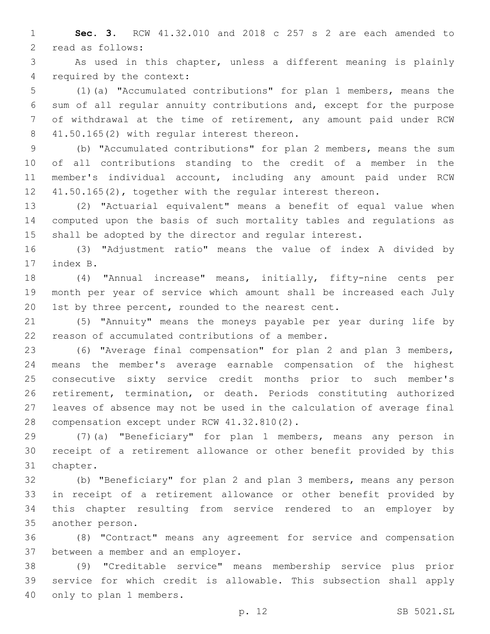**Sec. 3.** RCW 41.32.010 and 2018 c 257 s 2 are each amended to 2 read as follows:

 As used in this chapter, unless a different meaning is plainly 4 required by the context:

 (1)(a) "Accumulated contributions" for plan 1 members, means the sum of all regular annuity contributions and, except for the purpose of withdrawal at the time of retirement, any amount paid under RCW 8 41.50.165(2) with regular interest thereon.

 (b) "Accumulated contributions" for plan 2 members, means the sum of all contributions standing to the credit of a member in the member's individual account, including any amount paid under RCW 41.50.165(2), together with the regular interest thereon.

 (2) "Actuarial equivalent" means a benefit of equal value when computed upon the basis of such mortality tables and regulations as shall be adopted by the director and regular interest.

 (3) "Adjustment ratio" means the value of index A divided by 17 index B.

 (4) "Annual increase" means, initially, fifty-nine cents per month per year of service which amount shall be increased each July 1st by three percent, rounded to the nearest cent.

 (5) "Annuity" means the moneys payable per year during life by 22 reason of accumulated contributions of a member.

 (6) "Average final compensation" for plan 2 and plan 3 members, means the member's average earnable compensation of the highest consecutive sixty service credit months prior to such member's retirement, termination, or death. Periods constituting authorized leaves of absence may not be used in the calculation of average final 28 compensation except under RCW 41.32.810(2).

 (7)(a) "Beneficiary" for plan 1 members, means any person in receipt of a retirement allowance or other benefit provided by this 31 chapter.

 (b) "Beneficiary" for plan 2 and plan 3 members, means any person in receipt of a retirement allowance or other benefit provided by this chapter resulting from service rendered to an employer by 35 another person.

 (8) "Contract" means any agreement for service and compensation 37 between a member and an employer.

 (9) "Creditable service" means membership service plus prior service for which credit is allowable. This subsection shall apply 40 only to plan 1 members.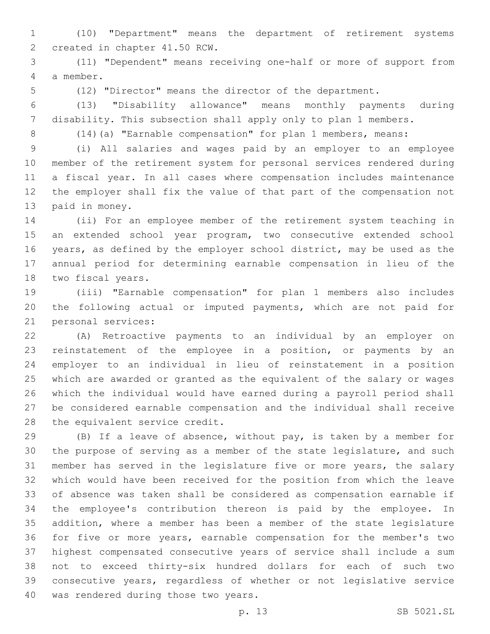(10) "Department" means the department of retirement systems 2 created in chapter 41.50 RCW.

 (11) "Dependent" means receiving one-half or more of support from a member.4

(12) "Director" means the director of the department.

 (13) "Disability allowance" means monthly payments during disability. This subsection shall apply only to plan 1 members.

(14)(a) "Earnable compensation" for plan 1 members, means:

 (i) All salaries and wages paid by an employer to an employee member of the retirement system for personal services rendered during a fiscal year. In all cases where compensation includes maintenance the employer shall fix the value of that part of the compensation not 13 paid in money.

 (ii) For an employee member of the retirement system teaching in 15 an extended school year program, two consecutive extended school years, as defined by the employer school district, may be used as the annual period for determining earnable compensation in lieu of the 18 two fiscal years.

 (iii) "Earnable compensation" for plan 1 members also includes the following actual or imputed payments, which are not paid for 21 personal services:

 (A) Retroactive payments to an individual by an employer on reinstatement of the employee in a position, or payments by an employer to an individual in lieu of reinstatement in a position which are awarded or granted as the equivalent of the salary or wages which the individual would have earned during a payroll period shall be considered earnable compensation and the individual shall receive 28 the equivalent service credit.

 (B) If a leave of absence, without pay, is taken by a member for the purpose of serving as a member of the state legislature, and such member has served in the legislature five or more years, the salary which would have been received for the position from which the leave of absence was taken shall be considered as compensation earnable if the employee's contribution thereon is paid by the employee. In addition, where a member has been a member of the state legislature for five or more years, earnable compensation for the member's two highest compensated consecutive years of service shall include a sum not to exceed thirty-six hundred dollars for each of such two consecutive years, regardless of whether or not legislative service 40 was rendered during those two years.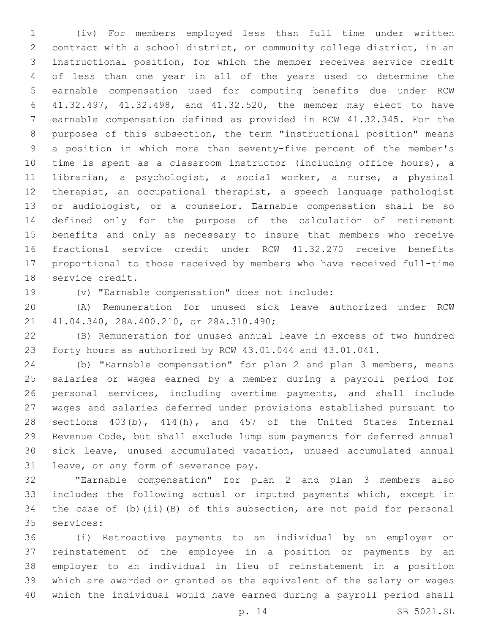(iv) For members employed less than full time under written contract with a school district, or community college district, in an instructional position, for which the member receives service credit of less than one year in all of the years used to determine the earnable compensation used for computing benefits due under RCW 41.32.497, 41.32.498, and 41.32.520, the member may elect to have earnable compensation defined as provided in RCW 41.32.345. For the purposes of this subsection, the term "instructional position" means a position in which more than seventy-five percent of the member's time is spent as a classroom instructor (including office hours), a librarian, a psychologist, a social worker, a nurse, a physical therapist, an occupational therapist, a speech language pathologist or audiologist, or a counselor. Earnable compensation shall be so defined only for the purpose of the calculation of retirement benefits and only as necessary to insure that members who receive fractional service credit under RCW 41.32.270 receive benefits proportional to those received by members who have received full-time 18 service credit.

19 (v) "Earnable compensation" does not include:

 (A) Remuneration for unused sick leave authorized under RCW 41.04.340, 28A.400.210, or 28A.310.490;21

 (B) Remuneration for unused annual leave in excess of two hundred forty hours as authorized by RCW 43.01.044 and 43.01.041.

 (b) "Earnable compensation" for plan 2 and plan 3 members, means salaries or wages earned by a member during a payroll period for personal services, including overtime payments, and shall include wages and salaries deferred under provisions established pursuant to sections 403(b), 414(h), and 457 of the United States Internal Revenue Code, but shall exclude lump sum payments for deferred annual sick leave, unused accumulated vacation, unused accumulated annual 31 leave, or any form of severance pay.

 "Earnable compensation" for plan 2 and plan 3 members also includes the following actual or imputed payments which, except in the case of (b)(ii)(B) of this subsection, are not paid for personal 35 services:

 (i) Retroactive payments to an individual by an employer on reinstatement of the employee in a position or payments by an employer to an individual in lieu of reinstatement in a position which are awarded or granted as the equivalent of the salary or wages which the individual would have earned during a payroll period shall

p. 14 SB 5021.SL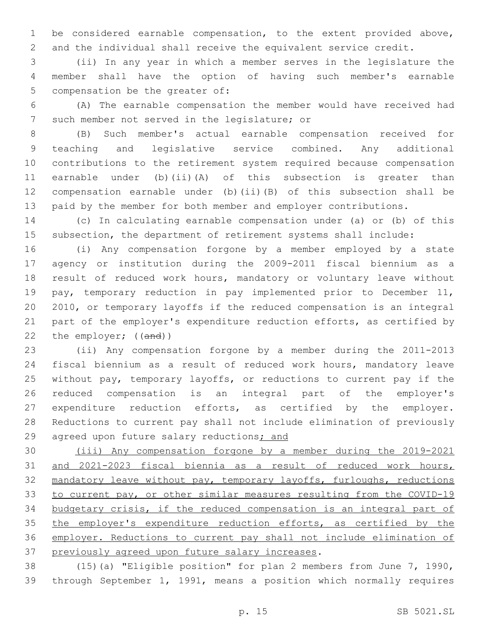be considered earnable compensation, to the extent provided above, and the individual shall receive the equivalent service credit.

 (ii) In any year in which a member serves in the legislature the member shall have the option of having such member's earnable 5 compensation be the greater of:

 (A) The earnable compensation the member would have received had 7 such member not served in the legislature; or

 (B) Such member's actual earnable compensation received for teaching and legislative service combined. Any additional contributions to the retirement system required because compensation earnable under (b)(ii)(A) of this subsection is greater than compensation earnable under (b)(ii)(B) of this subsection shall be paid by the member for both member and employer contributions.

 (c) In calculating earnable compensation under (a) or (b) of this subsection, the department of retirement systems shall include:

 (i) Any compensation forgone by a member employed by a state agency or institution during the 2009-2011 fiscal biennium as a result of reduced work hours, mandatory or voluntary leave without pay, temporary reduction in pay implemented prior to December 11, 2010, or temporary layoffs if the reduced compensation is an integral part of the employer's expenditure reduction efforts, as certified by 22 the employer; ((and))

 (ii) Any compensation forgone by a member during the 2011-2013 fiscal biennium as a result of reduced work hours, mandatory leave without pay, temporary layoffs, or reductions to current pay if the reduced compensation is an integral part of the employer's expenditure reduction efforts, as certified by the employer. Reductions to current pay shall not include elimination of previously 29 agreed upon future salary reductions; and

 (iii) Any compensation forgone by a member during the 2019-2021 and 2021-2023 fiscal biennia as a result of reduced work hours, mandatory leave without pay, temporary layoffs, furloughs, reductions to current pay, or other similar measures resulting from the COVID-19 budgetary crisis, if the reduced compensation is an integral part of 35 the employer's expenditure reduction efforts, as certified by the employer. Reductions to current pay shall not include elimination of 37 previously agreed upon future salary increases.

 (15)(a) "Eligible position" for plan 2 members from June 7, 1990, through September 1, 1991, means a position which normally requires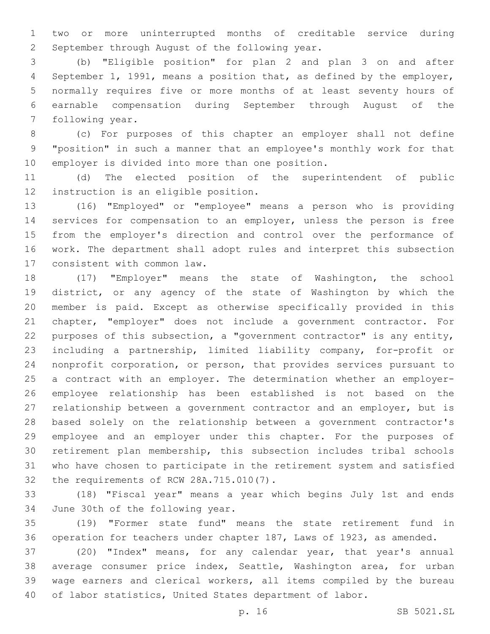two or more uninterrupted months of creditable service during 2 September through August of the following year.

 (b) "Eligible position" for plan 2 and plan 3 on and after September 1, 1991, means a position that, as defined by the employer, normally requires five or more months of at least seventy hours of earnable compensation during September through August of the 7 following year.

 (c) For purposes of this chapter an employer shall not define "position" in such a manner that an employee's monthly work for that 10 employer is divided into more than one position.

 (d) The elected position of the superintendent of public 12 instruction is an eligible position.

 (16) "Employed" or "employee" means a person who is providing services for compensation to an employer, unless the person is free from the employer's direction and control over the performance of work. The department shall adopt rules and interpret this subsection 17 consistent with common law.

 (17) "Employer" means the state of Washington, the school district, or any agency of the state of Washington by which the member is paid. Except as otherwise specifically provided in this chapter, "employer" does not include a government contractor. For purposes of this subsection, a "government contractor" is any entity, including a partnership, limited liability company, for-profit or nonprofit corporation, or person, that provides services pursuant to a contract with an employer. The determination whether an employer- employee relationship has been established is not based on the relationship between a government contractor and an employer, but is based solely on the relationship between a government contractor's employee and an employer under this chapter. For the purposes of retirement plan membership, this subsection includes tribal schools who have chosen to participate in the retirement system and satisfied 32 the requirements of RCW 28A.715.010(7).

 (18) "Fiscal year" means a year which begins July 1st and ends 34 June 30th of the following year.

 (19) "Former state fund" means the state retirement fund in operation for teachers under chapter 187, Laws of 1923, as amended.

 (20) "Index" means, for any calendar year, that year's annual average consumer price index, Seattle, Washington area, for urban wage earners and clerical workers, all items compiled by the bureau of labor statistics, United States department of labor.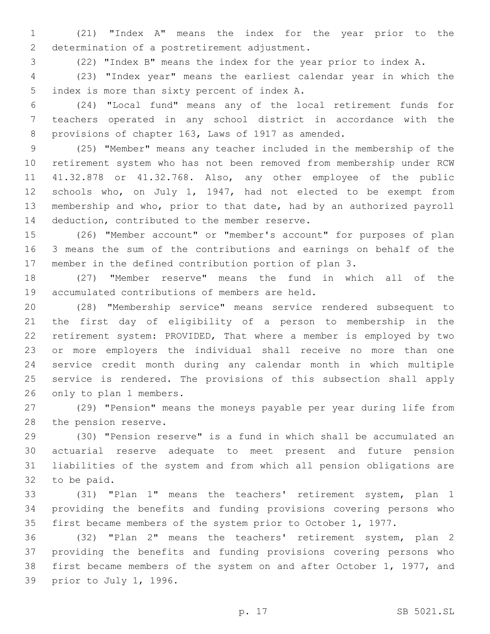(21) "Index A" means the index for the year prior to the 2 determination of a postretirement adjustment.

(22) "Index B" means the index for the year prior to index A.

 (23) "Index year" means the earliest calendar year in which the 5 index is more than sixty percent of index A.

 (24) "Local fund" means any of the local retirement funds for teachers operated in any school district in accordance with the provisions of chapter 163, Laws of 1917 as amended.

 (25) "Member" means any teacher included in the membership of the retirement system who has not been removed from membership under RCW 41.32.878 or 41.32.768. Also, any other employee of the public schools who, on July 1, 1947, had not elected to be exempt from membership and who, prior to that date, had by an authorized payroll 14 deduction, contributed to the member reserve.

 (26) "Member account" or "member's account" for purposes of plan 3 means the sum of the contributions and earnings on behalf of the member in the defined contribution portion of plan 3.

 (27) "Member reserve" means the fund in which all of the 19 accumulated contributions of members are held.

 (28) "Membership service" means service rendered subsequent to the first day of eligibility of a person to membership in the retirement system: PROVIDED, That where a member is employed by two or more employers the individual shall receive no more than one service credit month during any calendar month in which multiple service is rendered. The provisions of this subsection shall apply 26 only to plan 1 members.

 (29) "Pension" means the moneys payable per year during life from 28 the pension reserve.

 (30) "Pension reserve" is a fund in which shall be accumulated an actuarial reserve adequate to meet present and future pension liabilities of the system and from which all pension obligations are 32 to be paid.

 (31) "Plan 1" means the teachers' retirement system, plan 1 providing the benefits and funding provisions covering persons who first became members of the system prior to October 1, 1977.

 (32) "Plan 2" means the teachers' retirement system, plan 2 providing the benefits and funding provisions covering persons who first became members of the system on and after October 1, 1977, and 39 prior to July 1, 1996.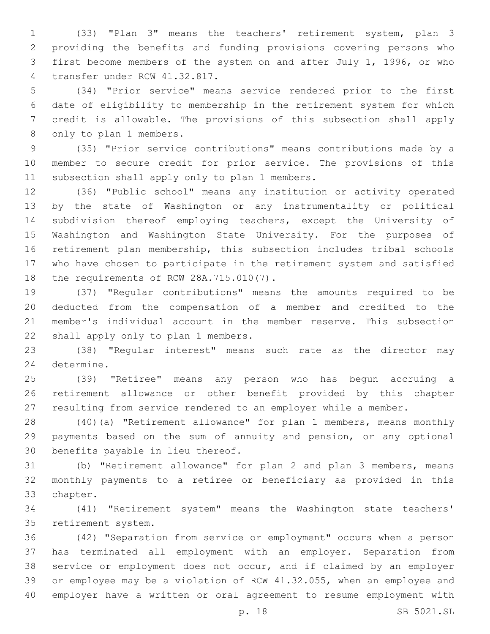(33) "Plan 3" means the teachers' retirement system, plan 3 providing the benefits and funding provisions covering persons who first become members of the system on and after July 1, 1996, or who 4 transfer under RCW 41.32.817.

 (34) "Prior service" means service rendered prior to the first date of eligibility to membership in the retirement system for which credit is allowable. The provisions of this subsection shall apply 8 only to plan 1 members.

 (35) "Prior service contributions" means contributions made by a member to secure credit for prior service. The provisions of this 11 subsection shall apply only to plan 1 members.

 (36) "Public school" means any institution or activity operated by the state of Washington or any instrumentality or political subdivision thereof employing teachers, except the University of Washington and Washington State University. For the purposes of retirement plan membership, this subsection includes tribal schools who have chosen to participate in the retirement system and satisfied 18 the requirements of RCW 28A.715.010(7).

 (37) "Regular contributions" means the amounts required to be deducted from the compensation of a member and credited to the member's individual account in the member reserve. This subsection 22 shall apply only to plan 1 members.

 (38) "Regular interest" means such rate as the director may 24 determine.

 (39) "Retiree" means any person who has begun accruing a retirement allowance or other benefit provided by this chapter resulting from service rendered to an employer while a member.

 (40)(a) "Retirement allowance" for plan 1 members, means monthly payments based on the sum of annuity and pension, or any optional 30 benefits payable in lieu thereof.

 (b) "Retirement allowance" for plan 2 and plan 3 members, means monthly payments to a retiree or beneficiary as provided in this 33 chapter.

 (41) "Retirement system" means the Washington state teachers' 35 retirement system.

 (42) "Separation from service or employment" occurs when a person has terminated all employment with an employer. Separation from service or employment does not occur, and if claimed by an employer or employee may be a violation of RCW 41.32.055, when an employee and employer have a written or oral agreement to resume employment with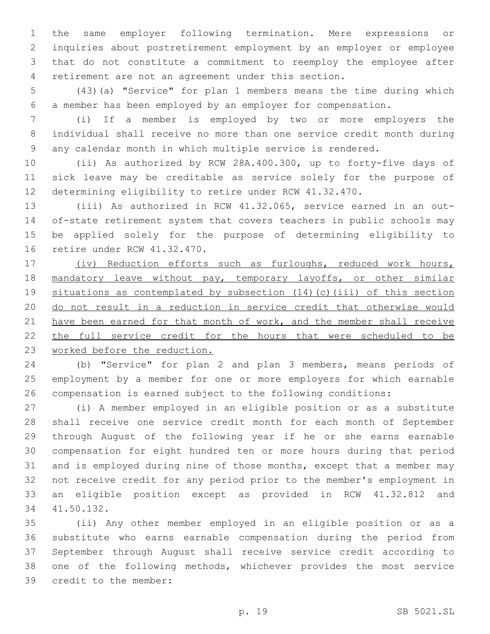the same employer following termination. Mere expressions or inquiries about postretirement employment by an employer or employee that do not constitute a commitment to reemploy the employee after retirement are not an agreement under this section.

 (43)(a) "Service" for plan 1 members means the time during which a member has been employed by an employer for compensation.

 (i) If a member is employed by two or more employers the individual shall receive no more than one service credit month during any calendar month in which multiple service is rendered.

 (ii) As authorized by RCW 28A.400.300, up to forty-five days of sick leave may be creditable as service solely for the purpose of determining eligibility to retire under RCW 41.32.470.

 (iii) As authorized in RCW 41.32.065, service earned in an out- of-state retirement system that covers teachers in public schools may be applied solely for the purpose of determining eligibility to 16 retire under RCW 41.32.470.

 (iv) Reduction efforts such as furloughs, reduced work hours, 18 mandatory leave without pay, temporary layoffs, or other similar situations as contemplated by subsection (14)(c)(iii) of this section do not result in a reduction in service credit that otherwise would 21 have been earned for that month of work, and the member shall receive 22 the full service credit for the hours that were scheduled to be worked before the reduction.

 (b) "Service" for plan 2 and plan 3 members, means periods of employment by a member for one or more employers for which earnable compensation is earned subject to the following conditions:

 (i) A member employed in an eligible position or as a substitute shall receive one service credit month for each month of September through August of the following year if he or she earns earnable compensation for eight hundred ten or more hours during that period and is employed during nine of those months, except that a member may not receive credit for any period prior to the member's employment in an eligible position except as provided in RCW 41.32.812 and 41.50.132.34

 (ii) Any other member employed in an eligible position or as a substitute who earns earnable compensation during the period from September through August shall receive service credit according to one of the following methods, whichever provides the most service 39 credit to the member: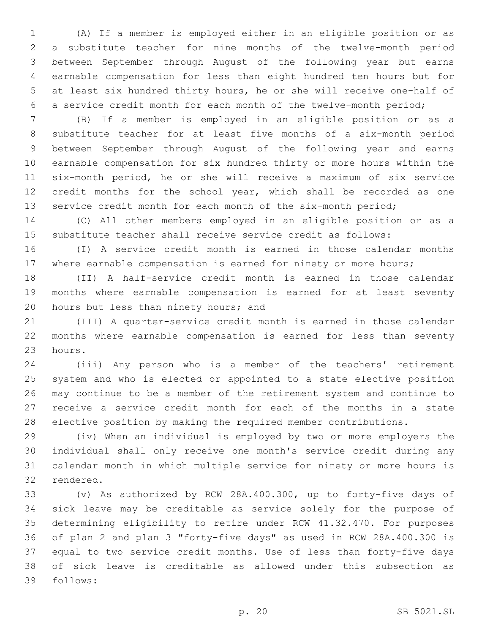(A) If a member is employed either in an eligible position or as a substitute teacher for nine months of the twelve-month period between September through August of the following year but earns earnable compensation for less than eight hundred ten hours but for at least six hundred thirty hours, he or she will receive one-half of a service credit month for each month of the twelve-month period;

 (B) If a member is employed in an eligible position or as a substitute teacher for at least five months of a six-month period between September through August of the following year and earns earnable compensation for six hundred thirty or more hours within the six-month period, he or she will receive a maximum of six service 12 credit months for the school year, which shall be recorded as one service credit month for each month of the six-month period;

 (C) All other members employed in an eligible position or as a substitute teacher shall receive service credit as follows:

 (I) A service credit month is earned in those calendar months 17 where earnable compensation is earned for ninety or more hours;

 (II) A half-service credit month is earned in those calendar months where earnable compensation is earned for at least seventy 20 hours but less than ninety hours; and

 (III) A quarter-service credit month is earned in those calendar months where earnable compensation is earned for less than seventy 23 hours.

 (iii) Any person who is a member of the teachers' retirement system and who is elected or appointed to a state elective position may continue to be a member of the retirement system and continue to receive a service credit month for each of the months in a state elective position by making the required member contributions.

 (iv) When an individual is employed by two or more employers the individual shall only receive one month's service credit during any calendar month in which multiple service for ninety or more hours is 32 rendered.

 (v) As authorized by RCW 28A.400.300, up to forty-five days of sick leave may be creditable as service solely for the purpose of determining eligibility to retire under RCW 41.32.470. For purposes of plan 2 and plan 3 "forty-five days" as used in RCW 28A.400.300 is equal to two service credit months. Use of less than forty-five days of sick leave is creditable as allowed under this subsection as 39 follows: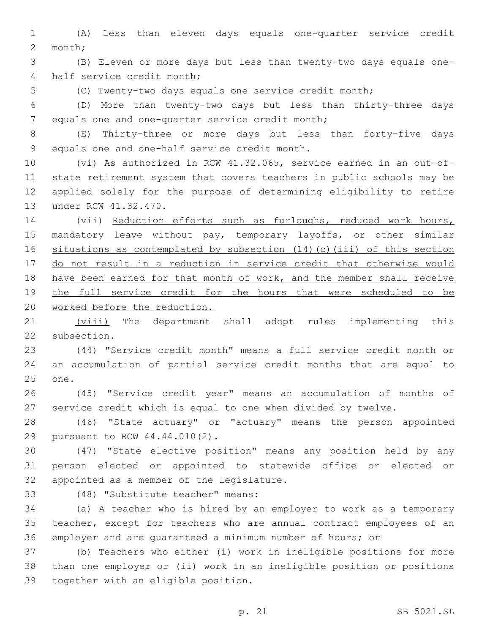(A) Less than eleven days equals one-quarter service credit 2 month;

 (B) Eleven or more days but less than twenty-two days equals one-4 half service credit month;

(C) Twenty-two days equals one service credit month;

 (D) More than twenty-two days but less than thirty-three days 7 equals one and one-quarter service credit month;

 (E) Thirty-three or more days but less than forty-five days 9 equals one and one-half service credit month.

 (vi) As authorized in RCW 41.32.065, service earned in an out-of- state retirement system that covers teachers in public schools may be applied solely for the purpose of determining eligibility to retire 13 under RCW 41.32.470.

 (vii) Reduction efforts such as furloughs, reduced work hours, 15 mandatory leave without pay, temporary layoffs, or other similar situations as contemplated by subsection (14)(c)(iii) of this section do not result in a reduction in service credit that otherwise would have been earned for that month of work, and the member shall receive the full service credit for the hours that were scheduled to be 20 worked before the reduction.

21 (viii) The department shall adopt rules implementing this 22 subsection.

 (44) "Service credit month" means a full service credit month or an accumulation of partial service credit months that are equal to 25 one.

 (45) "Service credit year" means an accumulation of months of service credit which is equal to one when divided by twelve.

 (46) "State actuary" or "actuary" means the person appointed 29 pursuant to RCW 44.44.010(2).

 (47) "State elective position" means any position held by any person elected or appointed to statewide office or elected or 32 appointed as a member of the legislature.

(48) "Substitute teacher" means:33

 (a) A teacher who is hired by an employer to work as a temporary teacher, except for teachers who are annual contract employees of an employer and are guaranteed a minimum number of hours; or

 (b) Teachers who either (i) work in ineligible positions for more than one employer or (ii) work in an ineligible position or positions 39 together with an eligible position.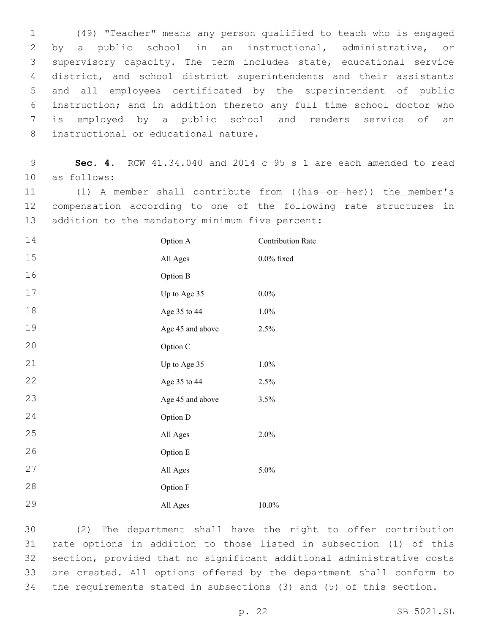(49) "Teacher" means any person qualified to teach who is engaged by a public school in an instructional, administrative, or supervisory capacity. The term includes state, educational service district, and school district superintendents and their assistants and all employees certificated by the superintendent of public instruction; and in addition thereto any full time school doctor who is employed by a public school and renders service of an 8 instructional or educational nature.

 **Sec. 4.** RCW 41.34.040 and 2014 c 95 s 1 are each amended to read 10 as follows:

 (1) A member shall contribute from ((his or her)) the member's compensation according to one of the following rate structures in 13 addition to the mandatory minimum five percent:

| 14 | Option A         | <b>Contribution Rate</b> |
|----|------------------|--------------------------|
| 15 | All Ages         | $0.0\%$ fixed            |
| 16 | Option B         |                          |
| 17 | Up to Age 35     | $0.0\%$                  |
| 18 | Age 35 to 44     | 1.0%                     |
| 19 | Age 45 and above | 2.5%                     |
| 20 | Option C         |                          |
| 21 | Up to Age 35     | 1.0%                     |
| 22 | Age 35 to 44     | 2.5%                     |
| 23 | Age 45 and above | 3.5%                     |
| 24 | Option D         |                          |
| 25 | All Ages         | 2.0%                     |
| 26 | Option E         |                          |
| 27 | All Ages         | 5.0%                     |
| 28 | Option F         |                          |
| 29 | All Ages         | 10.0%                    |

 (2) The department shall have the right to offer contribution rate options in addition to those listed in subsection (1) of this section, provided that no significant additional administrative costs are created. All options offered by the department shall conform to the requirements stated in subsections (3) and (5) of this section.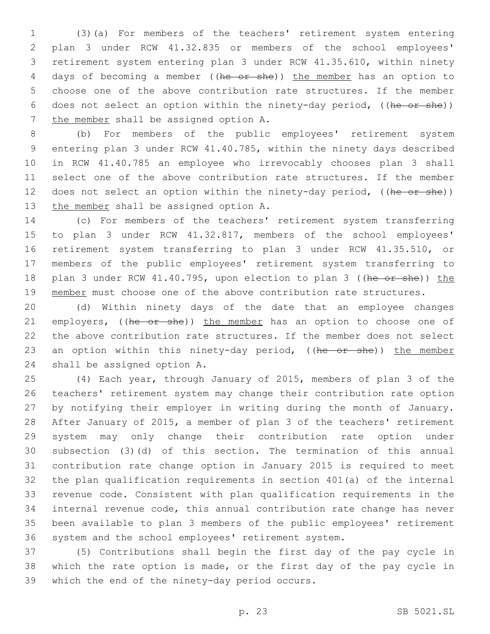(3)(a) For members of the teachers' retirement system entering plan 3 under RCW 41.32.835 or members of the school employees' retirement system entering plan 3 under RCW 41.35.610, within ninety 4 days of becoming a member ((he or she)) the member has an option to choose one of the above contribution rate structures. If the member does not select an option within the ninety-day period, ((he or she)) 7 the member shall be assigned option A.

 (b) For members of the public employees' retirement system entering plan 3 under RCW 41.40.785, within the ninety days described in RCW 41.40.785 an employee who irrevocably chooses plan 3 shall select one of the above contribution rate structures. If the member 12 does not select an option within the ninety-day period, ((he or she)) 13 the member shall be assigned option A.

 (c) For members of the teachers' retirement system transferring to plan 3 under RCW 41.32.817, members of the school employees' retirement system transferring to plan 3 under RCW 41.35.510, or members of the public employees' retirement system transferring to 18 plan 3 under RCW 41.40.795, upon election to plan 3 ((he or she)) the 19 member must choose one of the above contribution rate structures.

 (d) Within ninety days of the date that an employee changes 21 employers, ((he or she)) the member has an option to choose one of the above contribution rate structures. If the member does not select 23 an option within this ninety-day period, ((he or she)) the member 24 shall be assigned option A.

 (4) Each year, through January of 2015, members of plan 3 of the teachers' retirement system may change their contribution rate option by notifying their employer in writing during the month of January. After January of 2015, a member of plan 3 of the teachers' retirement system may only change their contribution rate option under subsection (3)(d) of this section. The termination of this annual contribution rate change option in January 2015 is required to meet the plan qualification requirements in section 401(a) of the internal revenue code. Consistent with plan qualification requirements in the internal revenue code, this annual contribution rate change has never been available to plan 3 members of the public employees' retirement system and the school employees' retirement system.

 (5) Contributions shall begin the first day of the pay cycle in which the rate option is made, or the first day of the pay cycle in 39 which the end of the ninety-day period occurs.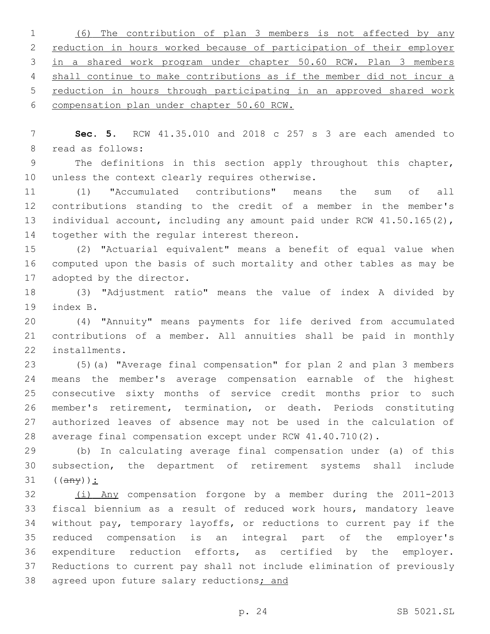(6) The contribution of plan 3 members is not affected by any reduction in hours worked because of participation of their employer in a shared work program under chapter 50.60 RCW. Plan 3 members shall continue to make contributions as if the member did not incur a reduction in hours through participating in an approved shared work compensation plan under chapter 50.60 RCW.

 **Sec. 5.** RCW 41.35.010 and 2018 c 257 s 3 are each amended to 8 read as follows:

 The definitions in this section apply throughout this chapter, 10 unless the context clearly requires otherwise.

 (1) "Accumulated contributions" means the sum of all contributions standing to the credit of a member in the member's 13 individual account, including any amount paid under RCW 41.50.165(2), 14 together with the regular interest thereon.

 (2) "Actuarial equivalent" means a benefit of equal value when computed upon the basis of such mortality and other tables as may be 17 adopted by the director.

 (3) "Adjustment ratio" means the value of index A divided by 19 index B.

 (4) "Annuity" means payments for life derived from accumulated contributions of a member. All annuities shall be paid in monthly 22 installments.

 (5)(a) "Average final compensation" for plan 2 and plan 3 members means the member's average compensation earnable of the highest consecutive sixty months of service credit months prior to such member's retirement, termination, or death. Periods constituting authorized leaves of absence may not be used in the calculation of average final compensation except under RCW 41.40.710(2).

 (b) In calculating average final compensation under (a) of this subsection, the department of retirement systems shall include  $((a \nleftrightarrow b))$ :

 (i) Any compensation forgone by a member during the 2011-2013 fiscal biennium as a result of reduced work hours, mandatory leave without pay, temporary layoffs, or reductions to current pay if the reduced compensation is an integral part of the employer's expenditure reduction efforts, as certified by the employer. Reductions to current pay shall not include elimination of previously 38 agreed upon future salary reductions; and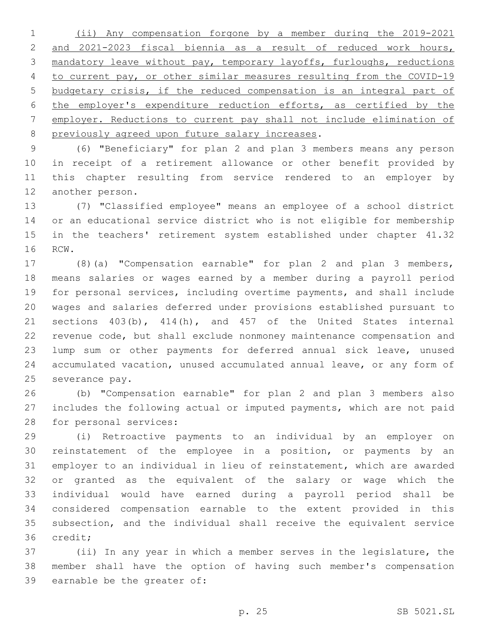(ii) Any compensation forgone by a member during the 2019-2021 and 2021-2023 fiscal biennia as a result of reduced work hours, mandatory leave without pay, temporary layoffs, furloughs, reductions to current pay, or other similar measures resulting from the COVID-19 budgetary crisis, if the reduced compensation is an integral part of the employer's expenditure reduction efforts, as certified by the employer. Reductions to current pay shall not include elimination of 8 previously agreed upon future salary increases.

 (6) "Beneficiary" for plan 2 and plan 3 members means any person in receipt of a retirement allowance or other benefit provided by this chapter resulting from service rendered to an employer by 12 another person.

 (7) "Classified employee" means an employee of a school district or an educational service district who is not eligible for membership in the teachers' retirement system established under chapter 41.32 16 RCW.

 (8)(a) "Compensation earnable" for plan 2 and plan 3 members, means salaries or wages earned by a member during a payroll period for personal services, including overtime payments, and shall include wages and salaries deferred under provisions established pursuant to sections 403(b), 414(h), and 457 of the United States internal revenue code, but shall exclude nonmoney maintenance compensation and lump sum or other payments for deferred annual sick leave, unused accumulated vacation, unused accumulated annual leave, or any form of 25 severance pay.

 (b) "Compensation earnable" for plan 2 and plan 3 members also includes the following actual or imputed payments, which are not paid 28 for personal services:

 (i) Retroactive payments to an individual by an employer on reinstatement of the employee in a position, or payments by an employer to an individual in lieu of reinstatement, which are awarded or granted as the equivalent of the salary or wage which the individual would have earned during a payroll period shall be considered compensation earnable to the extent provided in this subsection, and the individual shall receive the equivalent service 36 credit;

 (ii) In any year in which a member serves in the legislature, the member shall have the option of having such member's compensation 39 earnable be the greater of: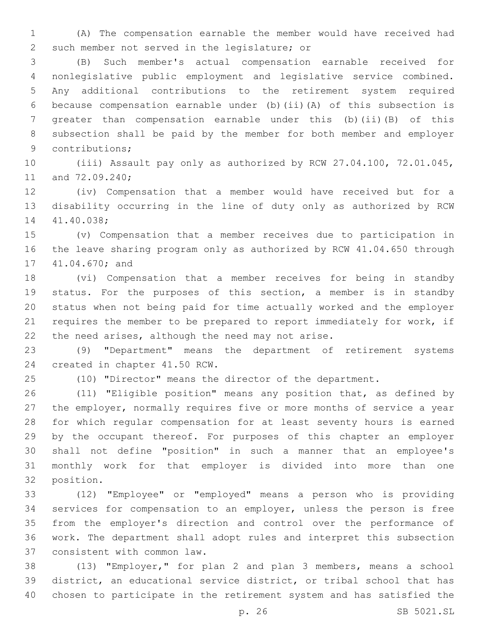(A) The compensation earnable the member would have received had 2 such member not served in the legislature; or

 (B) Such member's actual compensation earnable received for nonlegislative public employment and legislative service combined. Any additional contributions to the retirement system required because compensation earnable under (b)(ii)(A) of this subsection is greater than compensation earnable under this (b)(ii)(B) of this subsection shall be paid by the member for both member and employer 9 contributions;

 (iii) Assault pay only as authorized by RCW 27.04.100, 72.01.045, 11 and 72.09.240;

 (iv) Compensation that a member would have received but for a disability occurring in the line of duty only as authorized by RCW 14 41.40.038;

 (v) Compensation that a member receives due to participation in the leave sharing program only as authorized by RCW 41.04.650 through 17 41.04.670; and

 (vi) Compensation that a member receives for being in standby status. For the purposes of this section, a member is in standby status when not being paid for time actually worked and the employer requires the member to be prepared to report immediately for work, if 22 the need arises, although the need may not arise.

 (9) "Department" means the department of retirement systems 24 created in chapter 41.50 RCW.

(10) "Director" means the director of the department.

 (11) "Eligible position" means any position that, as defined by the employer, normally requires five or more months of service a year for which regular compensation for at least seventy hours is earned by the occupant thereof. For purposes of this chapter an employer shall not define "position" in such a manner that an employee's monthly work for that employer is divided into more than one 32 position.

 (12) "Employee" or "employed" means a person who is providing services for compensation to an employer, unless the person is free from the employer's direction and control over the performance of work. The department shall adopt rules and interpret this subsection 37 consistent with common law.

 (13) "Employer," for plan 2 and plan 3 members, means a school district, an educational service district, or tribal school that has chosen to participate in the retirement system and has satisfied the

p. 26 SB 5021.SL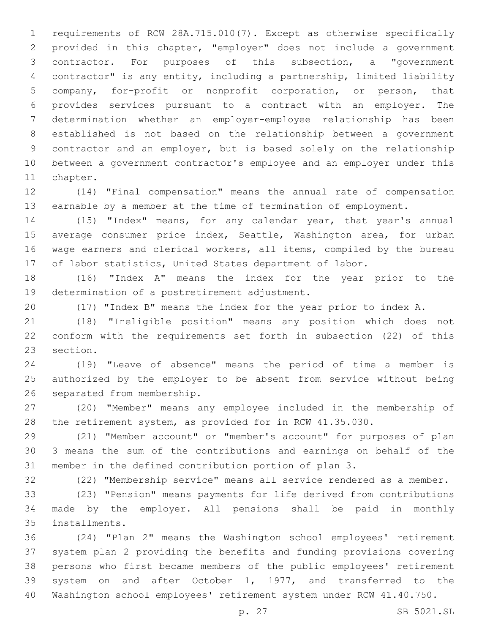requirements of RCW 28A.715.010(7). Except as otherwise specifically provided in this chapter, "employer" does not include a government contractor. For purposes of this subsection, a "government contractor" is any entity, including a partnership, limited liability company, for-profit or nonprofit corporation, or person, that provides services pursuant to a contract with an employer. The determination whether an employer-employee relationship has been established is not based on the relationship between a government contractor and an employer, but is based solely on the relationship between a government contractor's employee and an employer under this 11 chapter.

 (14) "Final compensation" means the annual rate of compensation earnable by a member at the time of termination of employment.

 (15) "Index" means, for any calendar year, that year's annual 15 average consumer price index, Seattle, Washington area, for urban wage earners and clerical workers, all items, compiled by the bureau of labor statistics, United States department of labor.

 (16) "Index A" means the index for the year prior to the 19 determination of a postretirement adjustment.

(17) "Index B" means the index for the year prior to index A.

 (18) "Ineligible position" means any position which does not conform with the requirements set forth in subsection (22) of this 23 section.

 (19) "Leave of absence" means the period of time a member is authorized by the employer to be absent from service without being 26 separated from membership.

 (20) "Member" means any employee included in the membership of the retirement system, as provided for in RCW 41.35.030.

 (21) "Member account" or "member's account" for purposes of plan 3 means the sum of the contributions and earnings on behalf of the member in the defined contribution portion of plan 3.

(22) "Membership service" means all service rendered as a member.

 (23) "Pension" means payments for life derived from contributions made by the employer. All pensions shall be paid in monthly installments.35

 (24) "Plan 2" means the Washington school employees' retirement system plan 2 providing the benefits and funding provisions covering persons who first became members of the public employees' retirement system on and after October 1, 1977, and transferred to the Washington school employees' retirement system under RCW 41.40.750.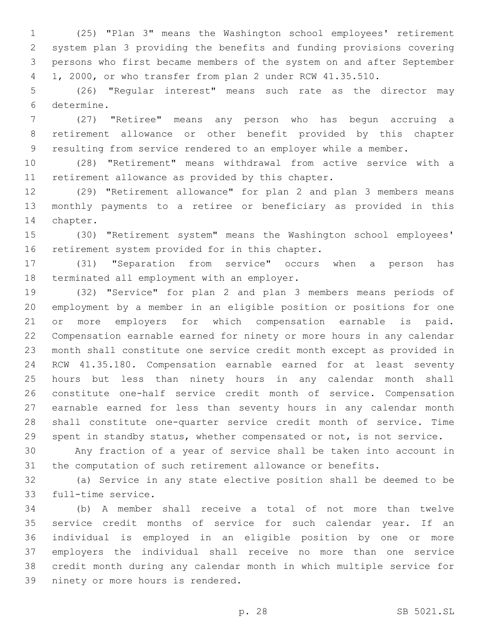(25) "Plan 3" means the Washington school employees' retirement system plan 3 providing the benefits and funding provisions covering persons who first became members of the system on and after September 1, 2000, or who transfer from plan 2 under RCW 41.35.510.

 (26) "Regular interest" means such rate as the director may 6 determine.

 (27) "Retiree" means any person who has begun accruing a retirement allowance or other benefit provided by this chapter resulting from service rendered to an employer while a member.

 (28) "Retirement" means withdrawal from active service with a 11 retirement allowance as provided by this chapter.

 (29) "Retirement allowance" for plan 2 and plan 3 members means monthly payments to a retiree or beneficiary as provided in this 14 chapter.

 (30) "Retirement system" means the Washington school employees' 16 retirement system provided for in this chapter.

 (31) "Separation from service" occurs when a person has 18 terminated all employment with an employer.

 (32) "Service" for plan 2 and plan 3 members means periods of employment by a member in an eligible position or positions for one or more employers for which compensation earnable is paid. Compensation earnable earned for ninety or more hours in any calendar month shall constitute one service credit month except as provided in RCW 41.35.180. Compensation earnable earned for at least seventy hours but less than ninety hours in any calendar month shall constitute one-half service credit month of service. Compensation earnable earned for less than seventy hours in any calendar month shall constitute one-quarter service credit month of service. Time spent in standby status, whether compensated or not, is not service.

 Any fraction of a year of service shall be taken into account in the computation of such retirement allowance or benefits.

 (a) Service in any state elective position shall be deemed to be 33 full-time service.

 (b) A member shall receive a total of not more than twelve service credit months of service for such calendar year. If an individual is employed in an eligible position by one or more employers the individual shall receive no more than one service credit month during any calendar month in which multiple service for 39 ninety or more hours is rendered.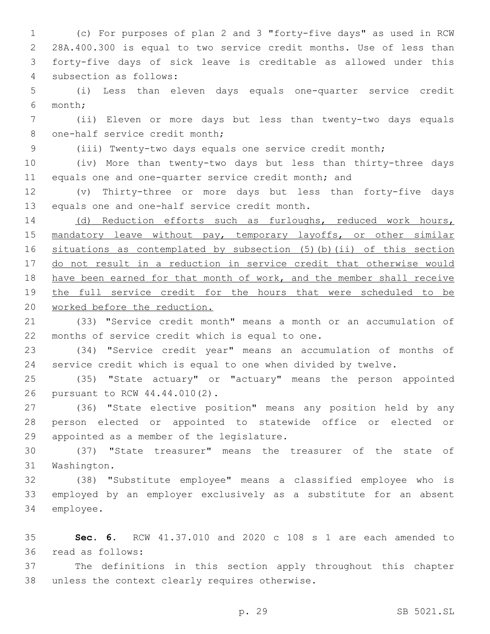(c) For purposes of plan 2 and 3 "forty-five days" as used in RCW 28A.400.300 is equal to two service credit months. Use of less than forty-five days of sick leave is creditable as allowed under this 4 subsection as follows:

5 (i) Less than eleven days equals one-quarter service credit month;6

7 (ii) Eleven or more days but less than twenty-two days equals 8 one-half service credit month;

9 (iii) Twenty-two days equals one service credit month;

10 (iv) More than twenty-two days but less than thirty-three days 11 equals one and one-quarter service credit month; and

12 (v) Thirty-three or more days but less than forty-five days 13 equals one and one-half service credit month.

14 (d) Reduction efforts such as furloughs, reduced work hours, 15 mandatory leave without pay, temporary layoffs, or other similar 16 situations as contemplated by subsection (5)(b)(ii) of this section 17 do not result in a reduction in service credit that otherwise would 18 have been earned for that month of work, and the member shall receive 19 the full service credit for the hours that were scheduled to be 20 worked before the reduction.

21 (33) "Service credit month" means a month or an accumulation of 22 months of service credit which is equal to one.

23 (34) "Service credit year" means an accumulation of months of 24 service credit which is equal to one when divided by twelve.

25 (35) "State actuary" or "actuary" means the person appointed 26 pursuant to RCW 44.44.010(2).

27 (36) "State elective position" means any position held by any 28 person elected or appointed to statewide office or elected or 29 appointed as a member of the legislature.

30 (37) "State treasurer" means the treasurer of the state of 31 Washington.

32 (38) "Substitute employee" means a classified employee who is 33 employed by an employer exclusively as a substitute for an absent 34 employee.

35 **Sec. 6.** RCW 41.37.010 and 2020 c 108 s 1 are each amended to read as follows:36

37 The definitions in this section apply throughout this chapter 38 unless the context clearly requires otherwise.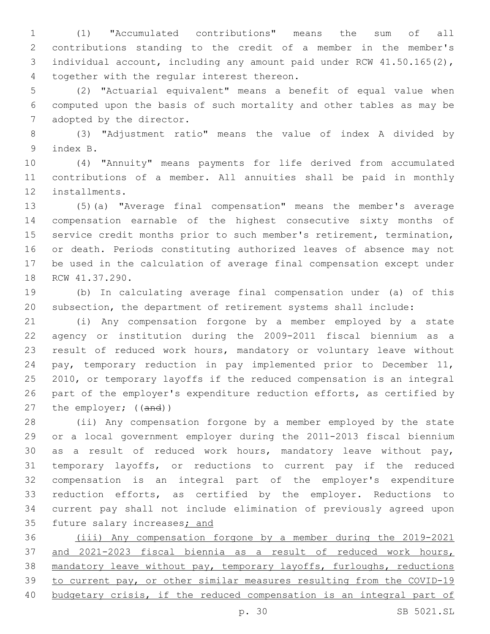(1) "Accumulated contributions" means the sum of all contributions standing to the credit of a member in the member's individual account, including any amount paid under RCW 41.50.165(2), 4 together with the regular interest thereon.

 (2) "Actuarial equivalent" means a benefit of equal value when computed upon the basis of such mortality and other tables as may be 7 adopted by the director.

 (3) "Adjustment ratio" means the value of index A divided by 9 index B.

 (4) "Annuity" means payments for life derived from accumulated contributions of a member. All annuities shall be paid in monthly 12 installments.

 (5)(a) "Average final compensation" means the member's average compensation earnable of the highest consecutive sixty months of service credit months prior to such member's retirement, termination, or death. Periods constituting authorized leaves of absence may not be used in the calculation of average final compensation except under 18 RCW 41.37.290.

 (b) In calculating average final compensation under (a) of this subsection, the department of retirement systems shall include:

 (i) Any compensation forgone by a member employed by a state agency or institution during the 2009-2011 fiscal biennium as a result of reduced work hours, mandatory or voluntary leave without pay, temporary reduction in pay implemented prior to December 11, 2010, or temporary layoffs if the reduced compensation is an integral 26 part of the employer's expenditure reduction efforts, as certified by 27 the employer; ((and))

 (ii) Any compensation forgone by a member employed by the state or a local government employer during the 2011-2013 fiscal biennium as a result of reduced work hours, mandatory leave without pay, temporary layoffs, or reductions to current pay if the reduced compensation is an integral part of the employer's expenditure reduction efforts, as certified by the employer. Reductions to current pay shall not include elimination of previously agreed upon 35 future salary increases; and

 (iii) Any compensation forgone by a member during the 2019-2021 and 2021-2023 fiscal biennia as a result of reduced work hours, mandatory leave without pay, temporary layoffs, furloughs, reductions to current pay, or other similar measures resulting from the COVID-19 budgetary crisis, if the reduced compensation is an integral part of

p. 30 SB 5021.SL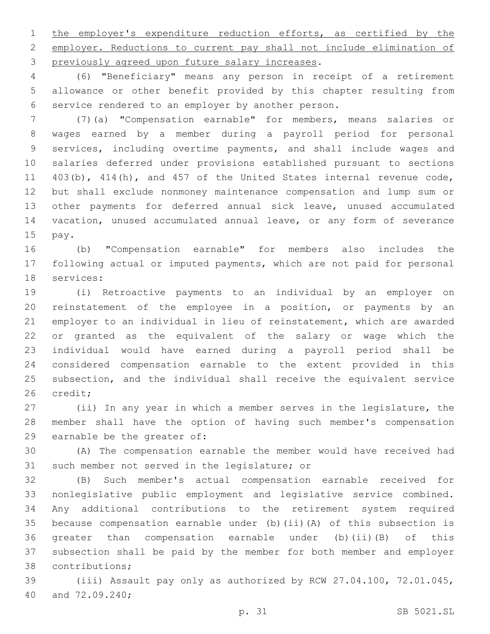1 the employer's expenditure reduction efforts, as certified by the employer. Reductions to current pay shall not include elimination of 3 previously agreed upon future salary increases.

 (6) "Beneficiary" means any person in receipt of a retirement allowance or other benefit provided by this chapter resulting from 6 service rendered to an employer by another person.

 (7)(a) "Compensation earnable" for members, means salaries or wages earned by a member during a payroll period for personal services, including overtime payments, and shall include wages and salaries deferred under provisions established pursuant to sections 403(b), 414(h), and 457 of the United States internal revenue code, but shall exclude nonmoney maintenance compensation and lump sum or other payments for deferred annual sick leave, unused accumulated vacation, unused accumulated annual leave, or any form of severance 15 pay.

 (b) "Compensation earnable" for members also includes the following actual or imputed payments, which are not paid for personal 18 services:

 (i) Retroactive payments to an individual by an employer on reinstatement of the employee in a position, or payments by an employer to an individual in lieu of reinstatement, which are awarded or granted as the equivalent of the salary or wage which the individual would have earned during a payroll period shall be considered compensation earnable to the extent provided in this subsection, and the individual shall receive the equivalent service 26 credit;

 (ii) In any year in which a member serves in the legislature, the member shall have the option of having such member's compensation 29 earnable be the greater of:

 (A) The compensation earnable the member would have received had 31 such member not served in the legislature; or

 (B) Such member's actual compensation earnable received for nonlegislative public employment and legislative service combined. Any additional contributions to the retirement system required because compensation earnable under (b)(ii)(A) of this subsection is greater than compensation earnable under (b)(ii)(B) of this subsection shall be paid by the member for both member and employer 38 contributions;

 (iii) Assault pay only as authorized by RCW 27.04.100, 72.01.045, 40 and 72.09.240;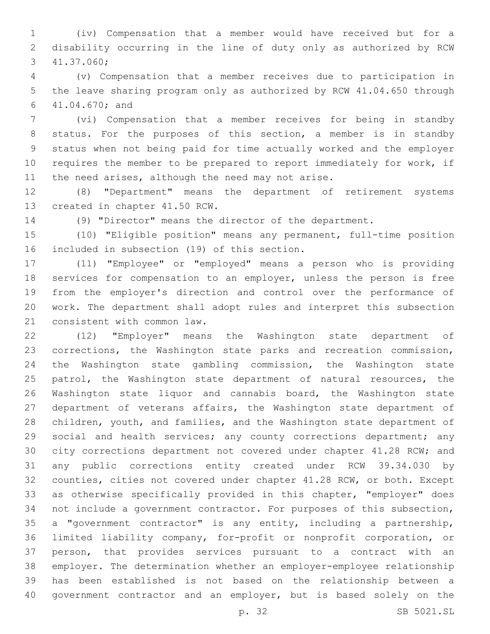(iv) Compensation that a member would have received but for a disability occurring in the line of duty only as authorized by RCW 41.37.060;3

 (v) Compensation that a member receives due to participation in the leave sharing program only as authorized by RCW 41.04.650 through 41.04.670; and6

 (vi) Compensation that a member receives for being in standby status. For the purposes of this section, a member is in standby status when not being paid for time actually worked and the employer requires the member to be prepared to report immediately for work, if 11 the need arises, although the need may not arise.

 (8) "Department" means the department of retirement systems 13 created in chapter 41.50 RCW.

(9) "Director" means the director of the department.

 (10) "Eligible position" means any permanent, full-time position 16 included in subsection (19) of this section.

 (11) "Employee" or "employed" means a person who is providing services for compensation to an employer, unless the person is free from the employer's direction and control over the performance of work. The department shall adopt rules and interpret this subsection 21 consistent with common law.

 (12) "Employer" means the Washington state department of corrections, the Washington state parks and recreation commission, the Washington state gambling commission, the Washington state 25 patrol, the Washington state department of natural resources, the Washington state liquor and cannabis board, the Washington state department of veterans affairs, the Washington state department of children, youth, and families, and the Washington state department of 29 social and health services; any county corrections department; any city corrections department not covered under chapter 41.28 RCW; and any public corrections entity created under RCW 39.34.030 by counties, cities not covered under chapter 41.28 RCW, or both. Except as otherwise specifically provided in this chapter, "employer" does not include a government contractor. For purposes of this subsection, a "government contractor" is any entity, including a partnership, limited liability company, for-profit or nonprofit corporation, or person, that provides services pursuant to a contract with an employer. The determination whether an employer-employee relationship has been established is not based on the relationship between a government contractor and an employer, but is based solely on the

p. 32 SB 5021.SL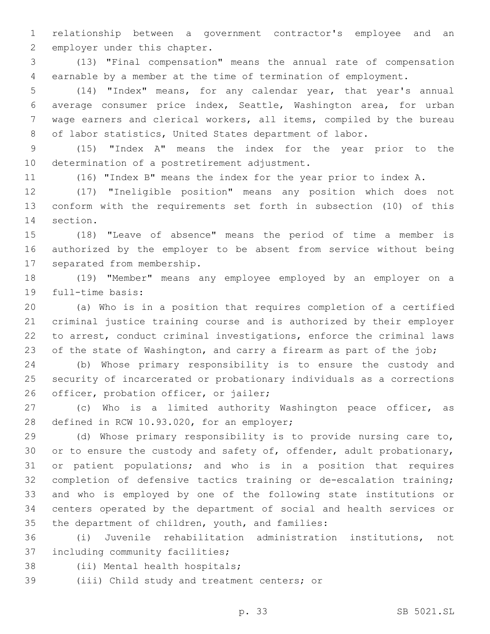relationship between a government contractor's employee and an 2 employer under this chapter.

 (13) "Final compensation" means the annual rate of compensation earnable by a member at the time of termination of employment.

 (14) "Index" means, for any calendar year, that year's annual average consumer price index, Seattle, Washington area, for urban wage earners and clerical workers, all items, compiled by the bureau of labor statistics, United States department of labor.

 (15) "Index A" means the index for the year prior to the 10 determination of a postretirement adjustment.

(16) "Index B" means the index for the year prior to index A.

 (17) "Ineligible position" means any position which does not conform with the requirements set forth in subsection (10) of this 14 section.

 (18) "Leave of absence" means the period of time a member is authorized by the employer to be absent from service without being 17 separated from membership.

 (19) "Member" means any employee employed by an employer on a 19 full-time basis:

 (a) Who is in a position that requires completion of a certified criminal justice training course and is authorized by their employer to arrest, conduct criminal investigations, enforce the criminal laws 23 of the state of Washington, and carry a firearm as part of the job;

 (b) Whose primary responsibility is to ensure the custody and security of incarcerated or probationary individuals as a corrections 26 officer, probation officer, or jailer;

 (c) Who is a limited authority Washington peace officer, as 28 defined in RCW 10.93.020, for an employer;

 (d) Whose primary responsibility is to provide nursing care to, 30 or to ensure the custody and safety of, offender, adult probationary, or patient populations; and who is in a position that requires completion of defensive tactics training or de-escalation training; and who is employed by one of the following state institutions or centers operated by the department of social and health services or 35 the department of children, youth, and families:

 (i) Juvenile rehabilitation administration institutions, not 37 including community facilities;

38 (ii) Mental health hospitals;

39 (iii) Child study and treatment centers; or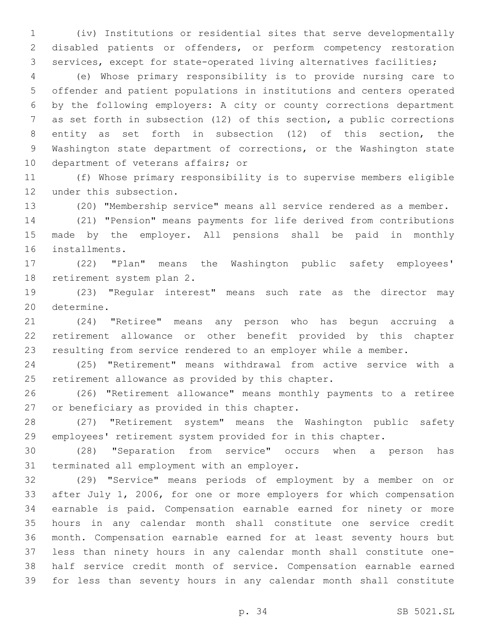(iv) Institutions or residential sites that serve developmentally disabled patients or offenders, or perform competency restoration services, except for state-operated living alternatives facilities;

 (e) Whose primary responsibility is to provide nursing care to offender and patient populations in institutions and centers operated by the following employers: A city or county corrections department as set forth in subsection (12) of this section, a public corrections entity as set forth in subsection (12) of this section, the Washington state department of corrections, or the Washington state 10 department of veterans affairs; or

 (f) Whose primary responsibility is to supervise members eligible 12 under this subsection.

(20) "Membership service" means all service rendered as a member.

 (21) "Pension" means payments for life derived from contributions made by the employer. All pensions shall be paid in monthly 16 installments.

 (22) "Plan" means the Washington public safety employees' 18 retirement system plan 2.

 (23) "Regular interest" means such rate as the director may 20 determine.

 (24) "Retiree" means any person who has begun accruing a retirement allowance or other benefit provided by this chapter resulting from service rendered to an employer while a member.

 (25) "Retirement" means withdrawal from active service with a 25 retirement allowance as provided by this chapter.

 (26) "Retirement allowance" means monthly payments to a retiree 27 or beneficiary as provided in this chapter.

 (27) "Retirement system" means the Washington public safety employees' retirement system provided for in this chapter.

 (28) "Separation from service" occurs when a person has 31 terminated all employment with an employer.

 (29) "Service" means periods of employment by a member on or after July 1, 2006, for one or more employers for which compensation earnable is paid. Compensation earnable earned for ninety or more hours in any calendar month shall constitute one service credit month. Compensation earnable earned for at least seventy hours but less than ninety hours in any calendar month shall constitute one- half service credit month of service. Compensation earnable earned for less than seventy hours in any calendar month shall constitute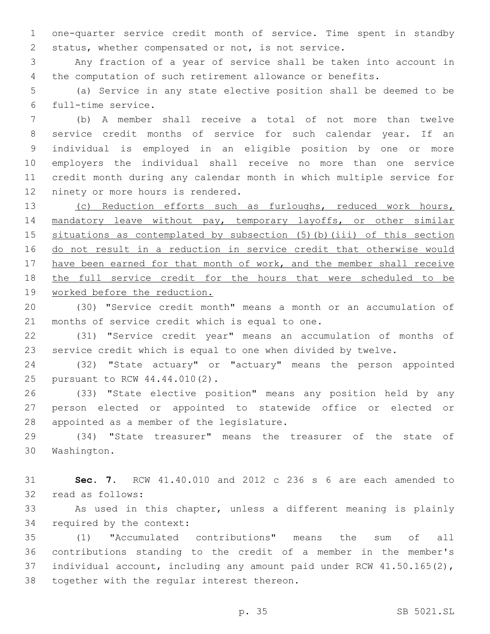one-quarter service credit month of service. Time spent in standby status, whether compensated or not, is not service.

 Any fraction of a year of service shall be taken into account in the computation of such retirement allowance or benefits.

 (a) Service in any state elective position shall be deemed to be full-time service.6

 (b) A member shall receive a total of not more than twelve service credit months of service for such calendar year. If an individual is employed in an eligible position by one or more employers the individual shall receive no more than one service credit month during any calendar month in which multiple service for 12 ninety or more hours is rendered.

 (c) Reduction efforts such as furloughs, reduced work hours, 14 mandatory leave without pay, temporary layoffs, or other similar situations as contemplated by subsection (5)(b)(iii) of this section do not result in a reduction in service credit that otherwise would 17 have been earned for that month of work, and the member shall receive the full service credit for the hours that were scheduled to be worked before the reduction.

 (30) "Service credit month" means a month or an accumulation of 21 months of service credit which is equal to one.

 (31) "Service credit year" means an accumulation of months of service credit which is equal to one when divided by twelve.

 (32) "State actuary" or "actuary" means the person appointed 25 pursuant to RCW 44.44.010(2).

 (33) "State elective position" means any position held by any person elected or appointed to statewide office or elected or 28 appointed as a member of the legislature.

 (34) "State treasurer" means the treasurer of the state of 30 Washington.

 **Sec. 7.** RCW 41.40.010 and 2012 c 236 s 6 are each amended to 32 read as follows:

 As used in this chapter, unless a different meaning is plainly 34 required by the context:

 (1) "Accumulated contributions" means the sum of all contributions standing to the credit of a member in the member's individual account, including any amount paid under RCW 41.50.165(2), 38 together with the regular interest thereon.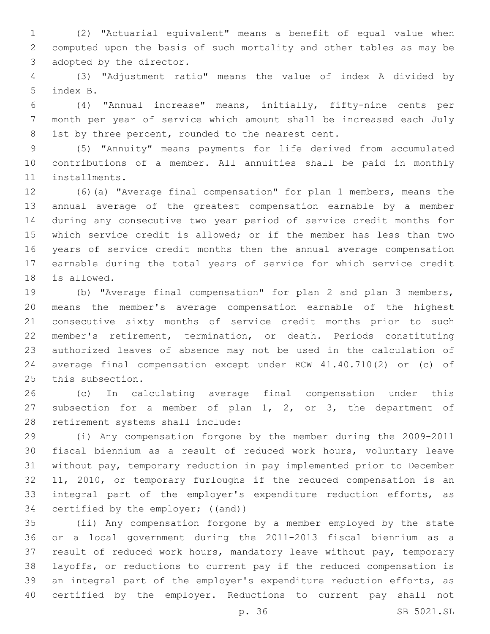(2) "Actuarial equivalent" means a benefit of equal value when computed upon the basis of such mortality and other tables as may be 3 adopted by the director.

 (3) "Adjustment ratio" means the value of index A divided by 5 index B.

 (4) "Annual increase" means, initially, fifty-nine cents per month per year of service which amount shall be increased each July 8 1st by three percent, rounded to the nearest cent.

 (5) "Annuity" means payments for life derived from accumulated contributions of a member. All annuities shall be paid in monthly 11 installments.

 (6)(a) "Average final compensation" for plan 1 members, means the annual average of the greatest compensation earnable by a member during any consecutive two year period of service credit months for which service credit is allowed; or if the member has less than two years of service credit months then the annual average compensation earnable during the total years of service for which service credit 18 is allowed.

 (b) "Average final compensation" for plan 2 and plan 3 members, means the member's average compensation earnable of the highest consecutive sixty months of service credit months prior to such member's retirement, termination, or death. Periods constituting authorized leaves of absence may not be used in the calculation of average final compensation except under RCW 41.40.710(2) or (c) of 25 this subsection.

 (c) In calculating average final compensation under this subsection for a member of plan 1, 2, or 3, the department of 28 retirement systems shall include:

 (i) Any compensation forgone by the member during the 2009-2011 fiscal biennium as a result of reduced work hours, voluntary leave without pay, temporary reduction in pay implemented prior to December 11, 2010, or temporary furloughs if the reduced compensation is an integral part of the employer's expenditure reduction efforts, as 34 certified by the employer; ((and))

 (ii) Any compensation forgone by a member employed by the state or a local government during the 2011-2013 fiscal biennium as a result of reduced work hours, mandatory leave without pay, temporary layoffs, or reductions to current pay if the reduced compensation is an integral part of the employer's expenditure reduction efforts, as certified by the employer. Reductions to current pay shall not

p. 36 SB 5021.SL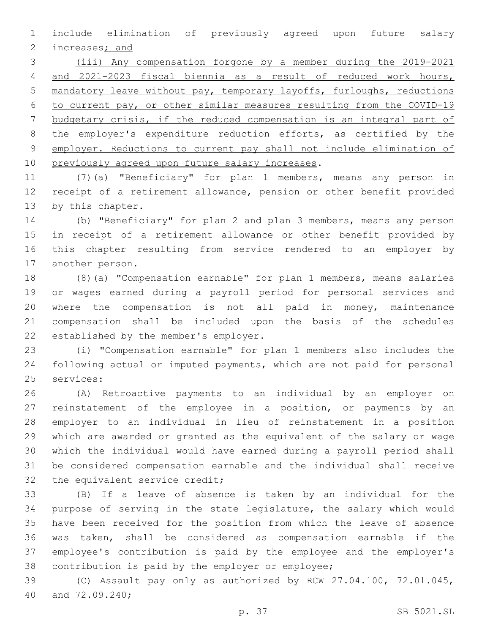include elimination of previously agreed upon future salary 2 increases; and

 (iii) Any compensation forgone by a member during the 2019-2021 and 2021-2023 fiscal biennia as a result of reduced work hours, mandatory leave without pay, temporary layoffs, furloughs, reductions to current pay, or other similar measures resulting from the COVID-19 budgetary crisis, if the reduced compensation is an integral part of 8 the employer's expenditure reduction efforts, as certified by the employer. Reductions to current pay shall not include elimination of 10 previously agreed upon future salary increases.

 (7)(a) "Beneficiary" for plan 1 members, means any person in receipt of a retirement allowance, pension or other benefit provided 13 by this chapter.

 (b) "Beneficiary" for plan 2 and plan 3 members, means any person in receipt of a retirement allowance or other benefit provided by this chapter resulting from service rendered to an employer by 17 another person.

 (8)(a) "Compensation earnable" for plan 1 members, means salaries or wages earned during a payroll period for personal services and where the compensation is not all paid in money, maintenance compensation shall be included upon the basis of the schedules 22 established by the member's employer.

 (i) "Compensation earnable" for plan 1 members also includes the following actual or imputed payments, which are not paid for personal 25 services:

 (A) Retroactive payments to an individual by an employer on reinstatement of the employee in a position, or payments by an employer to an individual in lieu of reinstatement in a position which are awarded or granted as the equivalent of the salary or wage which the individual would have earned during a payroll period shall be considered compensation earnable and the individual shall receive 32 the equivalent service credit;

 (B) If a leave of absence is taken by an individual for the purpose of serving in the state legislature, the salary which would have been received for the position from which the leave of absence was taken, shall be considered as compensation earnable if the employee's contribution is paid by the employee and the employer's 38 contribution is paid by the employer or employee;

 (C) Assault pay only as authorized by RCW 27.04.100, 72.01.045, 40 and 72.09.240;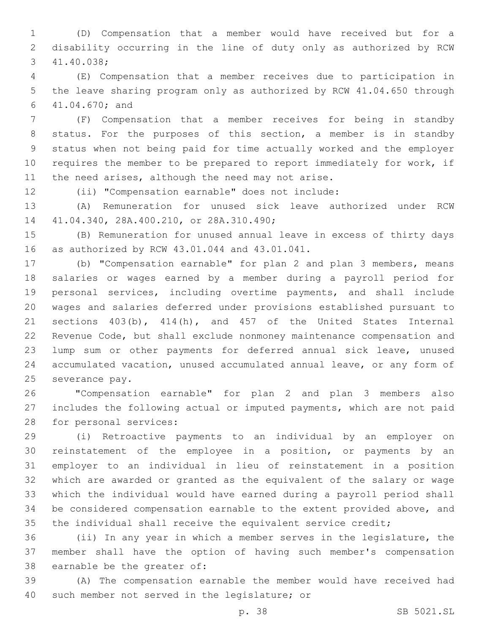(D) Compensation that a member would have received but for a disability occurring in the line of duty only as authorized by RCW 41.40.038;3

 (E) Compensation that a member receives due to participation in the leave sharing program only as authorized by RCW 41.04.650 through 41.04.670; and6

 (F) Compensation that a member receives for being in standby status. For the purposes of this section, a member is in standby status when not being paid for time actually worked and the employer requires the member to be prepared to report immediately for work, if 11 the need arises, although the need may not arise.

(ii) "Compensation earnable" does not include:

 (A) Remuneration for unused sick leave authorized under RCW 41.04.340, 28A.400.210, or 28A.310.490;14

 (B) Remuneration for unused annual leave in excess of thirty days 16 as authorized by RCW 43.01.044 and 43.01.041.

 (b) "Compensation earnable" for plan 2 and plan 3 members, means salaries or wages earned by a member during a payroll period for personal services, including overtime payments, and shall include wages and salaries deferred under provisions established pursuant to sections 403(b), 414(h), and 457 of the United States Internal Revenue Code, but shall exclude nonmoney maintenance compensation and lump sum or other payments for deferred annual sick leave, unused accumulated vacation, unused accumulated annual leave, or any form of 25 severance pay.

 "Compensation earnable" for plan 2 and plan 3 members also includes the following actual or imputed payments, which are not paid 28 for personal services:

 (i) Retroactive payments to an individual by an employer on reinstatement of the employee in a position, or payments by an employer to an individual in lieu of reinstatement in a position which are awarded or granted as the equivalent of the salary or wage which the individual would have earned during a payroll period shall be considered compensation earnable to the extent provided above, and 35 the individual shall receive the equivalent service credit;

 (ii) In any year in which a member serves in the legislature, the member shall have the option of having such member's compensation 38 earnable be the greater of:

 (A) The compensation earnable the member would have received had 40 such member not served in the legislature; or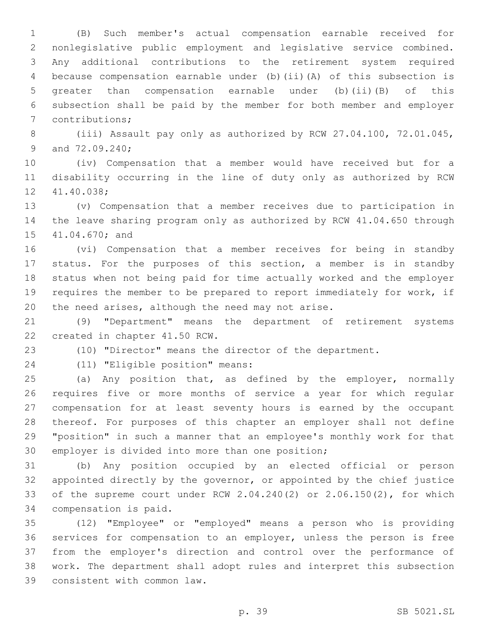(B) Such member's actual compensation earnable received for nonlegislative public employment and legislative service combined. Any additional contributions to the retirement system required because compensation earnable under (b)(ii)(A) of this subsection is greater than compensation earnable under (b)(ii)(B) of this subsection shall be paid by the member for both member and employer 7 contributions;

 (iii) Assault pay only as authorized by RCW 27.04.100, 72.01.045, 9 and 72.09.240;

 (iv) Compensation that a member would have received but for a disability occurring in the line of duty only as authorized by RCW 12 41.40.038;

 (v) Compensation that a member receives due to participation in the leave sharing program only as authorized by RCW 41.04.650 through 15 41.04.670; and

 (vi) Compensation that a member receives for being in standby status. For the purposes of this section, a member is in standby status when not being paid for time actually worked and the employer requires the member to be prepared to report immediately for work, if 20 the need arises, although the need may not arise.

 (9) "Department" means the department of retirement systems 22 created in chapter 41.50 RCW.

(10) "Director" means the director of the department.

(11) "Eligible position" means:24

 (a) Any position that, as defined by the employer, normally requires five or more months of service a year for which regular compensation for at least seventy hours is earned by the occupant thereof. For purposes of this chapter an employer shall not define "position" in such a manner that an employee's monthly work for that 30 employer is divided into more than one position;

 (b) Any position occupied by an elected official or person appointed directly by the governor, or appointed by the chief justice of the supreme court under RCW 2.04.240(2) or 2.06.150(2), for which 34 compensation is paid.

 (12) "Employee" or "employed" means a person who is providing services for compensation to an employer, unless the person is free from the employer's direction and control over the performance of work. The department shall adopt rules and interpret this subsection 39 consistent with common law.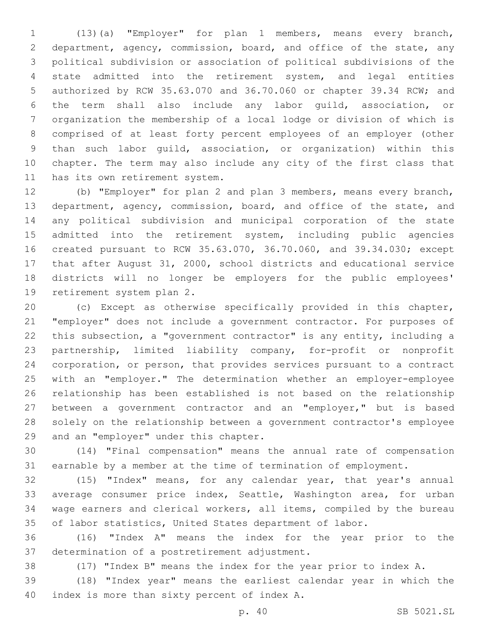(13)(a) "Employer" for plan 1 members, means every branch, department, agency, commission, board, and office of the state, any political subdivision or association of political subdivisions of the state admitted into the retirement system, and legal entities authorized by RCW 35.63.070 and 36.70.060 or chapter 39.34 RCW; and the term shall also include any labor guild, association, or organization the membership of a local lodge or division of which is comprised of at least forty percent employees of an employer (other than such labor guild, association, or organization) within this chapter. The term may also include any city of the first class that 11 has its own retirement system.

 (b) "Employer" for plan 2 and plan 3 members, means every branch, department, agency, commission, board, and office of the state, and any political subdivision and municipal corporation of the state admitted into the retirement system, including public agencies created pursuant to RCW 35.63.070, 36.70.060, and 39.34.030; except that after August 31, 2000, school districts and educational service districts will no longer be employers for the public employees' 19 retirement system plan 2.

 (c) Except as otherwise specifically provided in this chapter, "employer" does not include a government contractor. For purposes of this subsection, a "government contractor" is any entity, including a partnership, limited liability company, for-profit or nonprofit corporation, or person, that provides services pursuant to a contract with an "employer." The determination whether an employer-employee relationship has been established is not based on the relationship between a government contractor and an "employer," but is based solely on the relationship between a government contractor's employee 29 and an "employer" under this chapter.

 (14) "Final compensation" means the annual rate of compensation earnable by a member at the time of termination of employment.

 (15) "Index" means, for any calendar year, that year's annual average consumer price index, Seattle, Washington area, for urban wage earners and clerical workers, all items, compiled by the bureau of labor statistics, United States department of labor.

 (16) "Index A" means the index for the year prior to the 37 determination of a postretirement adjustment.

(17) "Index B" means the index for the year prior to index A.

 (18) "Index year" means the earliest calendar year in which the 40 index is more than sixty percent of index A.

p. 40 SB 5021.SL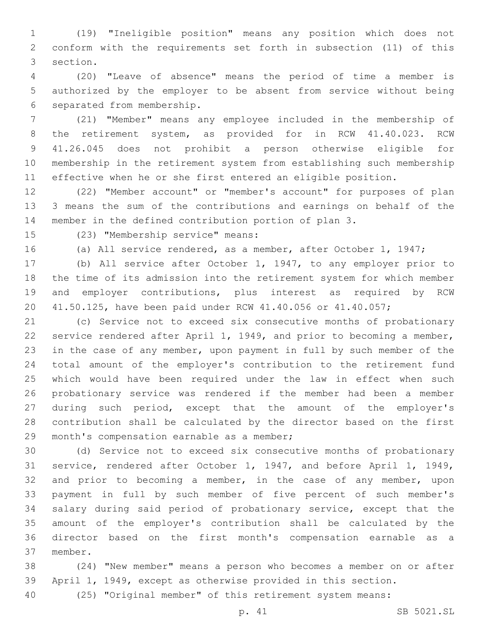(19) "Ineligible position" means any position which does not conform with the requirements set forth in subsection (11) of this 3 section.

 (20) "Leave of absence" means the period of time a member is authorized by the employer to be absent from service without being 6 separated from membership.

 (21) "Member" means any employee included in the membership of the retirement system, as provided for in RCW 41.40.023. RCW 41.26.045 does not prohibit a person otherwise eligible for membership in the retirement system from establishing such membership effective when he or she first entered an eligible position.

 (22) "Member account" or "member's account" for purposes of plan 3 means the sum of the contributions and earnings on behalf of the member in the defined contribution portion of plan 3.

(23) "Membership service" means:15

(a) All service rendered, as a member, after October 1, 1947;

 (b) All service after October 1, 1947, to any employer prior to the time of its admission into the retirement system for which member and employer contributions, plus interest as required by RCW 41.50.125, have been paid under RCW 41.40.056 or 41.40.057;

 (c) Service not to exceed six consecutive months of probationary service rendered after April 1, 1949, and prior to becoming a member, in the case of any member, upon payment in full by such member of the total amount of the employer's contribution to the retirement fund which would have been required under the law in effect when such probationary service was rendered if the member had been a member during such period, except that the amount of the employer's contribution shall be calculated by the director based on the first 29 month's compensation earnable as a member;

 (d) Service not to exceed six consecutive months of probationary service, rendered after October 1, 1947, and before April 1, 1949, 32 and prior to becoming a member, in the case of any member, upon payment in full by such member of five percent of such member's salary during said period of probationary service, except that the amount of the employer's contribution shall be calculated by the director based on the first month's compensation earnable as a member.37

 (24) "New member" means a person who becomes a member on or after April 1, 1949, except as otherwise provided in this section.

(25) "Original member" of this retirement system means: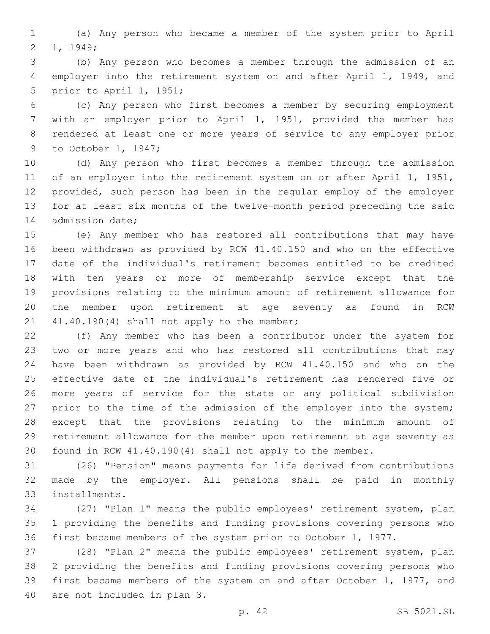(a) Any person who became a member of the system prior to April 2 1, 1949;

 (b) Any person who becomes a member through the admission of an employer into the retirement system on and after April 1, 1949, and 5 prior to April 1, 1951;

 (c) Any person who first becomes a member by securing employment with an employer prior to April 1, 1951, provided the member has rendered at least one or more years of service to any employer prior 9 to October 1, 1947;

 (d) Any person who first becomes a member through the admission 11 of an employer into the retirement system on or after April 1, 1951, provided, such person has been in the regular employ of the employer for at least six months of the twelve-month period preceding the said 14 admission date;

 (e) Any member who has restored all contributions that may have been withdrawn as provided by RCW 41.40.150 and who on the effective date of the individual's retirement becomes entitled to be credited with ten years or more of membership service except that the provisions relating to the minimum amount of retirement allowance for the member upon retirement at age seventy as found in RCW 41.40.190(4) shall not apply to the member;

 (f) Any member who has been a contributor under the system for two or more years and who has restored all contributions that may have been withdrawn as provided by RCW 41.40.150 and who on the effective date of the individual's retirement has rendered five or more years of service for the state or any political subdivision 27 prior to the time of the admission of the employer into the system; except that the provisions relating to the minimum amount of retirement allowance for the member upon retirement at age seventy as found in RCW 41.40.190(4) shall not apply to the member.

 (26) "Pension" means payments for life derived from contributions made by the employer. All pensions shall be paid in monthly installments.33

 (27) "Plan 1" means the public employees' retirement system, plan 1 providing the benefits and funding provisions covering persons who first became members of the system prior to October 1, 1977.

 (28) "Plan 2" means the public employees' retirement system, plan 2 providing the benefits and funding provisions covering persons who first became members of the system on and after October 1, 1977, and 40 are not included in plan 3.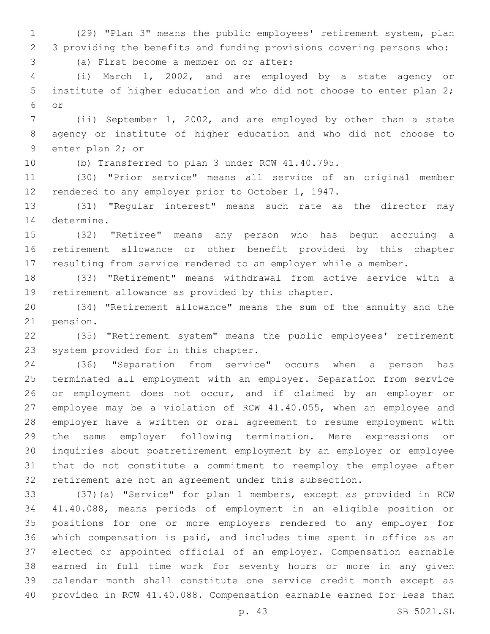(29) "Plan 3" means the public employees' retirement system, plan 3 providing the benefits and funding provisions covering persons who:

(a) First become a member on or after:3

 (i) March 1, 2002, and are employed by a state agency or institute of higher education and who did not choose to enter plan 2; or6

 (ii) September 1, 2002, and are employed by other than a state agency or institute of higher education and who did not choose to 9 enter plan 2; or

(b) Transferred to plan 3 under RCW 41.40.795.

 (30) "Prior service" means all service of an original member rendered to any employer prior to October 1, 1947.

 (31) "Regular interest" means such rate as the director may 14 determine.

 (32) "Retiree" means any person who has begun accruing a retirement allowance or other benefit provided by this chapter resulting from service rendered to an employer while a member.

 (33) "Retirement" means withdrawal from active service with a 19 retirement allowance as provided by this chapter.

 (34) "Retirement allowance" means the sum of the annuity and the 21 pension.

 (35) "Retirement system" means the public employees' retirement 23 system provided for in this chapter.

 (36) "Separation from service" occurs when a person has terminated all employment with an employer. Separation from service 26 or employment does not occur, and if claimed by an employer or employee may be a violation of RCW 41.40.055, when an employee and employer have a written or oral agreement to resume employment with the same employer following termination. Mere expressions or inquiries about postretirement employment by an employer or employee that do not constitute a commitment to reemploy the employee after retirement are not an agreement under this subsection.

 (37)(a) "Service" for plan 1 members, except as provided in RCW 41.40.088, means periods of employment in an eligible position or positions for one or more employers rendered to any employer for which compensation is paid, and includes time spent in office as an elected or appointed official of an employer. Compensation earnable earned in full time work for seventy hours or more in any given calendar month shall constitute one service credit month except as provided in RCW 41.40.088. Compensation earnable earned for less than

p. 43 SB 5021.SL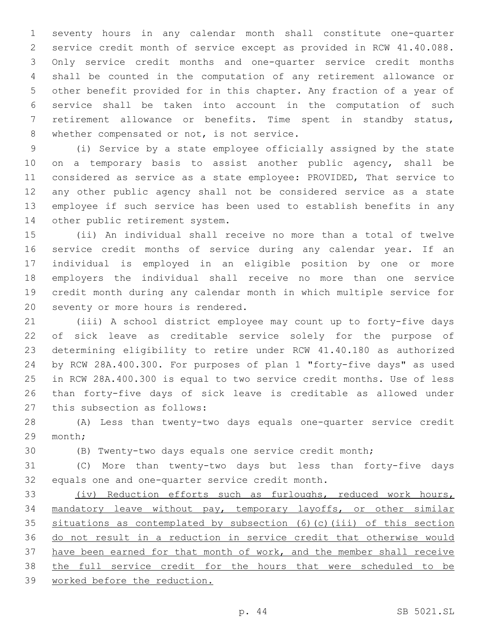seventy hours in any calendar month shall constitute one-quarter service credit month of service except as provided in RCW 41.40.088. Only service credit months and one-quarter service credit months shall be counted in the computation of any retirement allowance or other benefit provided for in this chapter. Any fraction of a year of service shall be taken into account in the computation of such retirement allowance or benefits. Time spent in standby status, 8 whether compensated or not, is not service.

 (i) Service by a state employee officially assigned by the state 10 on a temporary basis to assist another public agency, shall be considered as service as a state employee: PROVIDED, That service to any other public agency shall not be considered service as a state employee if such service has been used to establish benefits in any 14 other public retirement system.

 (ii) An individual shall receive no more than a total of twelve service credit months of service during any calendar year. If an individual is employed in an eligible position by one or more employers the individual shall receive no more than one service credit month during any calendar month in which multiple service for 20 seventy or more hours is rendered.

 (iii) A school district employee may count up to forty-five days of sick leave as creditable service solely for the purpose of determining eligibility to retire under RCW 41.40.180 as authorized by RCW 28A.400.300. For purposes of plan 1 "forty-five days" as used in RCW 28A.400.300 is equal to two service credit months. Use of less than forty-five days of sick leave is creditable as allowed under 27 this subsection as follows:

 (A) Less than twenty-two days equals one-quarter service credit 29 month;

(B) Twenty-two days equals one service credit month;

 (C) More than twenty-two days but less than forty-five days 32 equals one and one-quarter service credit month.

 (iv) Reduction efforts such as furloughs, reduced work hours, mandatory leave without pay, temporary layoffs, or other similar situations as contemplated by subsection (6)(c)(iii) of this section do not result in a reduction in service credit that otherwise would 37 have been earned for that month of work, and the member shall receive the full service credit for the hours that were scheduled to be worked before the reduction.

p. 44 SB 5021.SL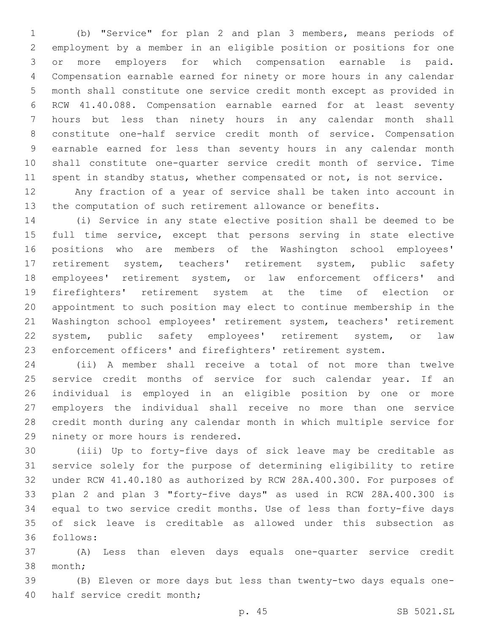(b) "Service" for plan 2 and plan 3 members, means periods of employment by a member in an eligible position or positions for one or more employers for which compensation earnable is paid. Compensation earnable earned for ninety or more hours in any calendar month shall constitute one service credit month except as provided in RCW 41.40.088. Compensation earnable earned for at least seventy hours but less than ninety hours in any calendar month shall constitute one-half service credit month of service. Compensation earnable earned for less than seventy hours in any calendar month shall constitute one-quarter service credit month of service. Time 11 spent in standby status, whether compensated or not, is not service.

 Any fraction of a year of service shall be taken into account in the computation of such retirement allowance or benefits.

 (i) Service in any state elective position shall be deemed to be full time service, except that persons serving in state elective positions who are members of the Washington school employees' retirement system, teachers' retirement system, public safety employees' retirement system, or law enforcement officers' and firefighters' retirement system at the time of election or appointment to such position may elect to continue membership in the Washington school employees' retirement system, teachers' retirement system, public safety employees' retirement system, or law enforcement officers' and firefighters' retirement system.

 (ii) A member shall receive a total of not more than twelve service credit months of service for such calendar year. If an individual is employed in an eligible position by one or more employers the individual shall receive no more than one service credit month during any calendar month in which multiple service for 29 ninety or more hours is rendered.

 (iii) Up to forty-five days of sick leave may be creditable as service solely for the purpose of determining eligibility to retire under RCW 41.40.180 as authorized by RCW 28A.400.300. For purposes of plan 2 and plan 3 "forty-five days" as used in RCW 28A.400.300 is equal to two service credit months. Use of less than forty-five days of sick leave is creditable as allowed under this subsection as follows:36

 (A) Less than eleven days equals one-quarter service credit 38 month;

 (B) Eleven or more days but less than twenty-two days equals one-40 half service credit month;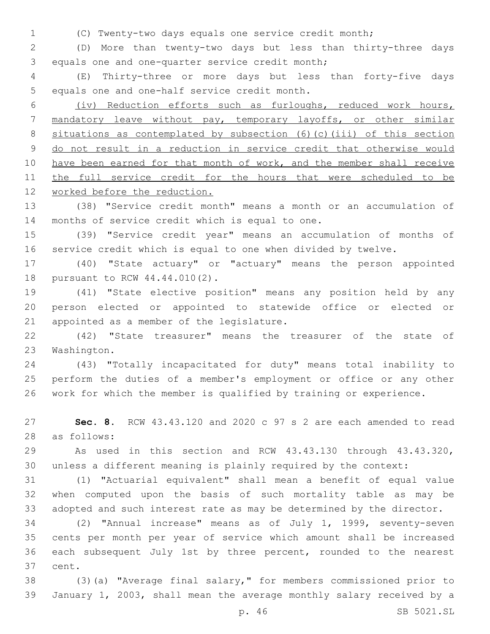(C) Twenty-two days equals one service credit month;

 (D) More than twenty-two days but less than thirty-three days 3 equals one and one-quarter service credit month;

 (E) Thirty-three or more days but less than forty-five days 5 equals one and one-half service credit month.

 (iv) Reduction efforts such as furloughs, reduced work hours, mandatory leave without pay, temporary layoffs, or other similar 8 situations as contemplated by subsection (6)(c)(iii) of this section do not result in a reduction in service credit that otherwise would 10 have been earned for that month of work, and the member shall receive 11 the full service credit for the hours that were scheduled to be worked before the reduction.

 (38) "Service credit month" means a month or an accumulation of 14 months of service credit which is equal to one.

 (39) "Service credit year" means an accumulation of months of service credit which is equal to one when divided by twelve.

 (40) "State actuary" or "actuary" means the person appointed 18 pursuant to RCW 44.44.010(2).

 (41) "State elective position" means any position held by any person elected or appointed to statewide office or elected or 21 appointed as a member of the legislature.

 (42) "State treasurer" means the treasurer of the state of 23 Washington.

 (43) "Totally incapacitated for duty" means total inability to perform the duties of a member's employment or office or any other work for which the member is qualified by training or experience.

 **Sec. 8.** RCW 43.43.120 and 2020 c 97 s 2 are each amended to read as follows:28

 As used in this section and RCW 43.43.130 through 43.43.320, unless a different meaning is plainly required by the context:

 (1) "Actuarial equivalent" shall mean a benefit of equal value when computed upon the basis of such mortality table as may be adopted and such interest rate as may be determined by the director.

 (2) "Annual increase" means as of July 1, 1999, seventy-seven cents per month per year of service which amount shall be increased each subsequent July 1st by three percent, rounded to the nearest 37 cent.

 (3)(a) "Average final salary," for members commissioned prior to January 1, 2003, shall mean the average monthly salary received by a

p. 46 SB 5021.SL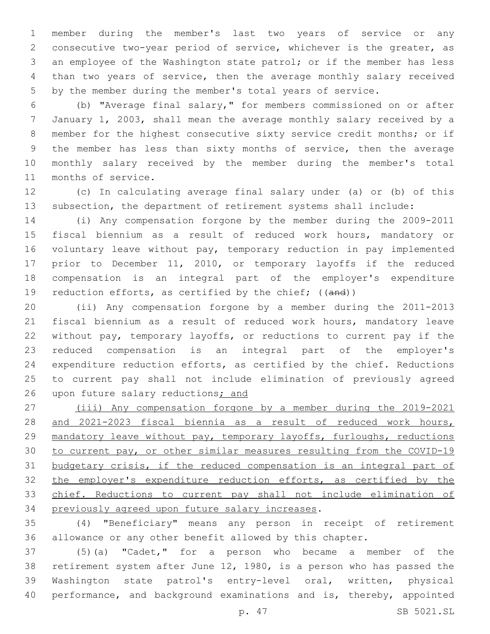member during the member's last two years of service or any consecutive two-year period of service, whichever is the greater, as an employee of the Washington state patrol; or if the member has less than two years of service, then the average monthly salary received by the member during the member's total years of service.

 (b) "Average final salary," for members commissioned on or after January 1, 2003, shall mean the average monthly salary received by a member for the highest consecutive sixty service credit months; or if the member has less than sixty months of service, then the average monthly salary received by the member during the member's total 11 months of service.

 (c) In calculating average final salary under (a) or (b) of this subsection, the department of retirement systems shall include:

 (i) Any compensation forgone by the member during the 2009-2011 fiscal biennium as a result of reduced work hours, mandatory or voluntary leave without pay, temporary reduction in pay implemented prior to December 11, 2010, or temporary layoffs if the reduced compensation is an integral part of the employer's expenditure 19 reduction efforts, as certified by the chief; ((and))

 (ii) Any compensation forgone by a member during the 2011-2013 fiscal biennium as a result of reduced work hours, mandatory leave without pay, temporary layoffs, or reductions to current pay if the reduced compensation is an integral part of the employer's expenditure reduction efforts, as certified by the chief. Reductions to current pay shall not include elimination of previously agreed upon future salary reductions; and

 (iii) Any compensation forgone by a member during the 2019-2021 and 2021-2023 fiscal biennia as a result of reduced work hours, 29 mandatory leave without pay, temporary layoffs, furloughs, reductions to current pay, or other similar measures resulting from the COVID-19 budgetary crisis, if the reduced compensation is an integral part of the employer's expenditure reduction efforts, as certified by the chief. Reductions to current pay shall not include elimination of 34 previously agreed upon future salary increases.

 (4) "Beneficiary" means any person in receipt of retirement allowance or any other benefit allowed by this chapter.

 (5)(a) "Cadet," for a person who became a member of the retirement system after June 12, 1980, is a person who has passed the Washington state patrol's entry-level oral, written, physical performance, and background examinations and is, thereby, appointed

p. 47 SB 5021.SL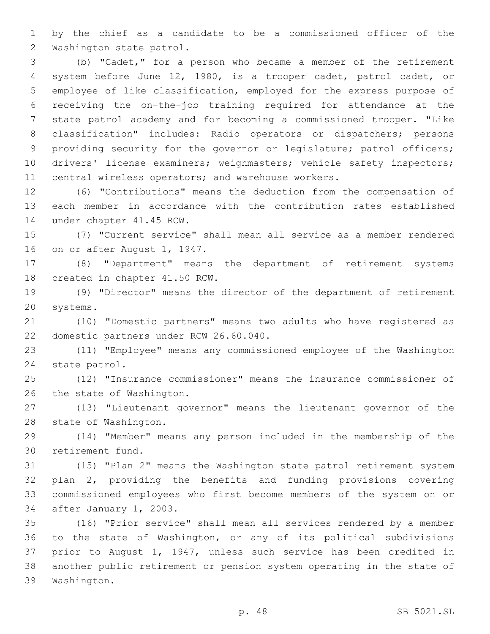by the chief as a candidate to be a commissioned officer of the 2 Washington state patrol.

 (b) "Cadet," for a person who became a member of the retirement system before June 12, 1980, is a trooper cadet, patrol cadet, or employee of like classification, employed for the express purpose of receiving the on-the-job training required for attendance at the state patrol academy and for becoming a commissioned trooper. "Like classification" includes: Radio operators or dispatchers; persons 9 providing security for the governor or legislature; patrol officers; 10 drivers' license examiners; weighmasters; vehicle safety inspectors; central wireless operators; and warehouse workers.

 (6) "Contributions" means the deduction from the compensation of each member in accordance with the contribution rates established 14 under chapter 41.45 RCW.

 (7) "Current service" shall mean all service as a member rendered 16 on or after August 1, 1947.

 (8) "Department" means the department of retirement systems 18 created in chapter 41.50 RCW.

 (9) "Director" means the director of the department of retirement 20 systems.

 (10) "Domestic partners" means two adults who have registered as 22 domestic partners under RCW 26.60.040.

 (11) "Employee" means any commissioned employee of the Washington 24 state patrol.

 (12) "Insurance commissioner" means the insurance commissioner of 26 the state of Washington.

 (13) "Lieutenant governor" means the lieutenant governor of the 28 state of Washington.

 (14) "Member" means any person included in the membership of the 30 retirement fund.

 (15) "Plan 2" means the Washington state patrol retirement system plan 2, providing the benefits and funding provisions covering commissioned employees who first become members of the system on or 34 after January 1, 2003.

 (16) "Prior service" shall mean all services rendered by a member to the state of Washington, or any of its political subdivisions prior to August 1, 1947, unless such service has been credited in another public retirement or pension system operating in the state of 39 Washington.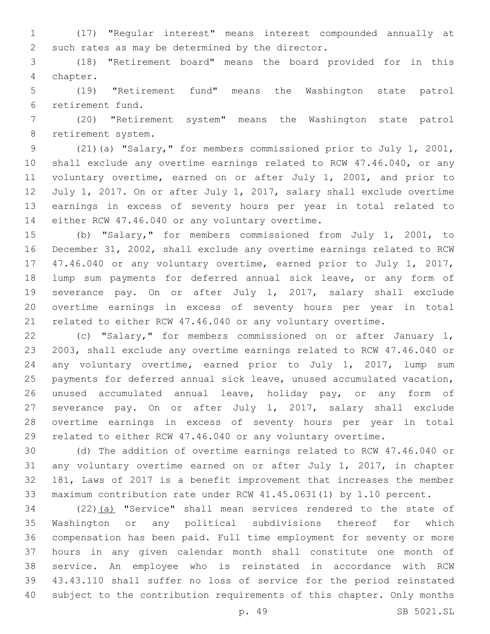(17) "Regular interest" means interest compounded annually at 2 such rates as may be determined by the director.

 (18) "Retirement board" means the board provided for in this 4 chapter.

 (19) "Retirement fund" means the Washington state patrol retirement fund.6

 (20) "Retirement system" means the Washington state patrol 8 retirement system.

 (21)(a) "Salary," for members commissioned prior to July 1, 2001, shall exclude any overtime earnings related to RCW 47.46.040, or any voluntary overtime, earned on or after July 1, 2001, and prior to July 1, 2017. On or after July 1, 2017, salary shall exclude overtime earnings in excess of seventy hours per year in total related to 14 either RCW 47.46.040 or any voluntary overtime.

 (b) "Salary," for members commissioned from July 1, 2001, to December 31, 2002, shall exclude any overtime earnings related to RCW 47.46.040 or any voluntary overtime, earned prior to July 1, 2017, lump sum payments for deferred annual sick leave, or any form of severance pay. On or after July 1, 2017, salary shall exclude overtime earnings in excess of seventy hours per year in total related to either RCW 47.46.040 or any voluntary overtime.

 (c) "Salary," for members commissioned on or after January 1, 2003, shall exclude any overtime earnings related to RCW 47.46.040 or any voluntary overtime, earned prior to July 1, 2017, lump sum payments for deferred annual sick leave, unused accumulated vacation, unused accumulated annual leave, holiday pay, or any form of severance pay. On or after July 1, 2017, salary shall exclude overtime earnings in excess of seventy hours per year in total related to either RCW 47.46.040 or any voluntary overtime.

 (d) The addition of overtime earnings related to RCW 47.46.040 or any voluntary overtime earned on or after July 1, 2017, in chapter 181, Laws of 2017 is a benefit improvement that increases the member maximum contribution rate under RCW 41.45.0631(1) by 1.10 percent.

 (22)(a) "Service" shall mean services rendered to the state of Washington or any political subdivisions thereof for which compensation has been paid. Full time employment for seventy or more hours in any given calendar month shall constitute one month of service. An employee who is reinstated in accordance with RCW 43.43.110 shall suffer no loss of service for the period reinstated subject to the contribution requirements of this chapter. Only months

p. 49 SB 5021.SL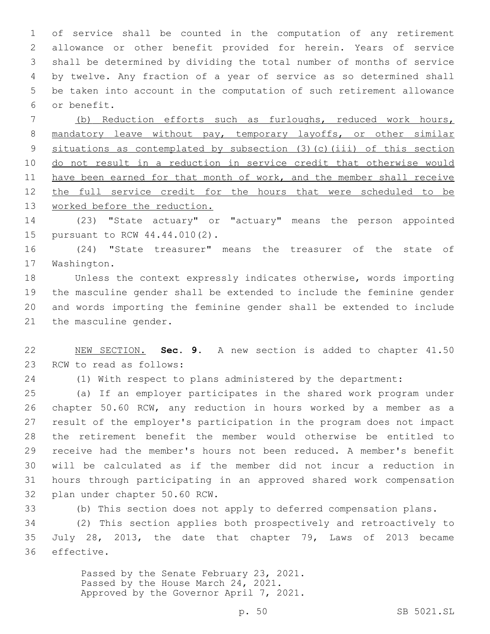of service shall be counted in the computation of any retirement allowance or other benefit provided for herein. Years of service shall be determined by dividing the total number of months of service by twelve. Any fraction of a year of service as so determined shall be taken into account in the computation of such retirement allowance 6 or benefit.

 (b) Reduction efforts such as furloughs, reduced work hours, 8 mandatory leave without pay, temporary layoffs, or other similar 9 situations as contemplated by subsection (3)(c)(iii) of this section do not result in a reduction in service credit that otherwise would 11 have been earned for that month of work, and the member shall receive the full service credit for the hours that were scheduled to be 13 worked before the reduction.

 (23) "State actuary" or "actuary" means the person appointed 15 pursuant to RCW 44.44.010(2).

 (24) "State treasurer" means the treasurer of the state of 17 Washington.

 Unless the context expressly indicates otherwise, words importing the masculine gender shall be extended to include the feminine gender and words importing the feminine gender shall be extended to include 21 the masculine gender.

 NEW SECTION. **Sec. 9.** A new section is added to chapter 41.50 23 RCW to read as follows:

(1) With respect to plans administered by the department:

 (a) If an employer participates in the shared work program under chapter 50.60 RCW, any reduction in hours worked by a member as a result of the employer's participation in the program does not impact the retirement benefit the member would otherwise be entitled to receive had the member's hours not been reduced. A member's benefit will be calculated as if the member did not incur a reduction in hours through participating in an approved shared work compensation 32 plan under chapter 50.60 RCW.

(b) This section does not apply to deferred compensation plans.

 (2) This section applies both prospectively and retroactively to July 28, 2013, the date that chapter 79, Laws of 2013 became 36 effective.

> Passed by the Senate February 23, 2021. Passed by the House March 24, 2021. Approved by the Governor April 7, 2021.